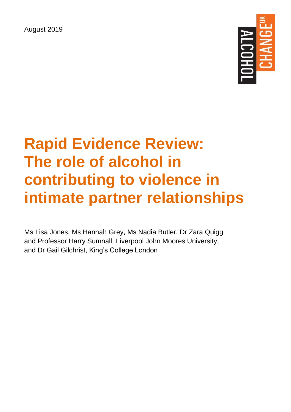August 2019



# **Rapid Evidence Review: The role of alcohol in contributing to violence in intimate partner relationships**

Ms Lisa Jones, Ms Hannah Grey, Ms Nadia Butler, Dr Zara Quigg and Professor Harry Sumnall, Liverpool John Moores University, and Dr Gail Gilchrist, King's College London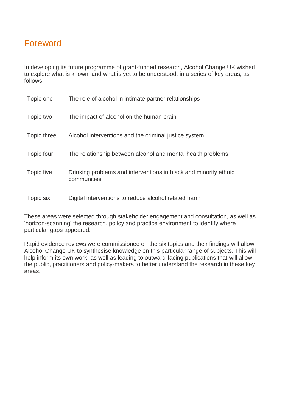# Foreword

In developing its future programme of grant-funded research, Alcohol Change UK wished to explore what is known, and what is yet to be understood, in a series of key areas, as follows:

| Topic one   | The role of alcohol in intimate partner relationships                           |
|-------------|---------------------------------------------------------------------------------|
| Topic two   | The impact of alcohol on the human brain                                        |
| Topic three | Alcohol interventions and the criminal justice system                           |
| Topic four  | The relationship between alcohol and mental health problems                     |
| Topic five  | Drinking problems and interventions in black and minority ethnic<br>communities |
| Topic six   | Digital interventions to reduce alcohol related harm                            |

These areas were selected through stakeholder engagement and consultation, as well as 'horizon-scanning' the research, policy and practice environment to identify where particular gaps appeared.

Rapid evidence reviews were commissioned on the six topics and their findings will allow Alcohol Change UK to synthesise knowledge on this particular range of subjects. This will help inform its own work, as well as leading to outward-facing publications that will allow the public, practitioners and policy-makers to better understand the research in these key areas.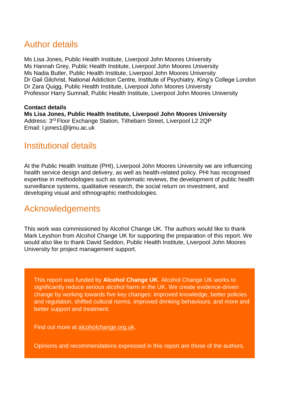### Author details

Ms Lisa Jones, Public Health Institute, Liverpool John Moores University Ms Hannah Grey, Public Health Institute, Liverpool John Moores University Ms Nadia Butler, Public Health Institute, Liverpool John Moores University Dr Gail Gilchrist, National Addiction Centre, Institute of Psychiatry, King's College London Dr Zara Quigg, Public Health Institute, Liverpool John Moores University Professor Harry Sumnall, Public Health Institute, Liverpool John Moores University

#### **Contact details**

**Ms Lisa Jones, Public Health Institute, Liverpool John Moores University** Address: 3rd Floor Exchange Station, Tithebarn Street, Liverpool L2 2QP Email: [l.jones1@ljmu.ac.uk](mailto:l.jones1@ljmu.ac.uk)

### Institutional details

At the Public Health Institute (PHI), Liverpool John Moores University we are influencing health service design and delivery, as well as health-related policy. PHI has recognised expertise in methodologies such as systematic reviews, the development of public health surveillance systems, qualitative research, the social return on investment, and developing visual and ethnographic methodologies.

### Acknowledgements

This work was commissioned by Alcohol Change UK. The authors would like to thank Mark Leyshon from Alcohol Change UK for supporting the preparation of this report. We would also like to thank David Seddon, Public Health Institute, Liverpool John Moores University for project management support.

This report was funded by **Alcohol Change UK**. Alcohol Change UK works to significantly reduce serious alcohol harm in the UK. We create evidence-driven change by working towards five key changes: improved knowledge, better policies and regulation, shifted cultural norms, improved drinking behaviours, and more and better support and treatment.

Find out more at [alcoholchange.org.uk.](https://www.alcoholchange.org.uk/)

Opinions and recommendations expressed in this report are those of the authors.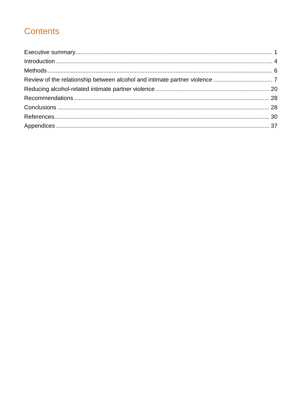# **Contents**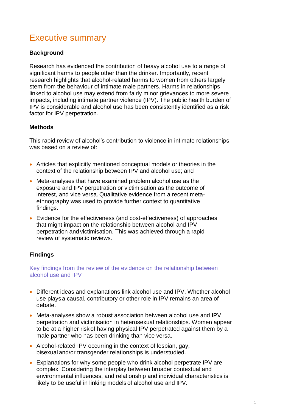# <span id="page-4-0"></span>Executive summary

#### **Background**

Research has evidenced the contribution of heavy alcohol use to a range of significant harms to people other than the drinker. Importantly, recent research highlights that alcohol-related harms to women from others largely stem from the behaviour of intimate male partners. Harms in relationships linked to alcohol use may extend from fairly minor grievances to more severe impacts, including intimate partner violence (IPV). The public health burden of IPV is considerable and alcohol use has been consistently identified as a risk factor for IPV perpetration.

#### **Methods**

This rapid review of alcohol's contribution to violence in intimate relationships was based on a review of:

- Articles that explicitly mentioned conceptual models or theories in the context of the relationship between IPV and alcohol use; and
- Meta-analyses that have examined problem alcohol use as the exposure and IPV perpetration or victimisation as the outcome of interest, and vice versa. Qualitative evidence from a recent metaethnography was used to provide further context to quantitative findings.
- Evidence for the effectiveness (and cost-effectiveness) of approaches that might impact on the relationship between alcohol and IPV perpetration and victimisation. This was achieved through a rapid review of systematic reviews.

#### **Findings**

Key findings from the review of the evidence on the relationship between alcohol use and IPV

- Different ideas and explanations link alcohol use and IPV. Whether alcohol use playsa causal, contributory or other role in IPV remains an area of debate.
- Meta-analyses show a robust association between alcohol use and IPV perpetration and victimisation in heterosexual relationships. Women appear to be at a higher risk of having physical IPV perpetrated against them by a male partner who has been drinking than vice versa.
- Alcohol-related IPV occurring in the context of lesbian, gay, bisexual and/or transgender relationships is understudied.
- Explanations for why some people who drink alcohol perpetrate IPV are complex. Considering the interplay between broader contextual and environmental influences, and relationship and individual characteristics is likely to be useful in linking models of alcohol use and IPV.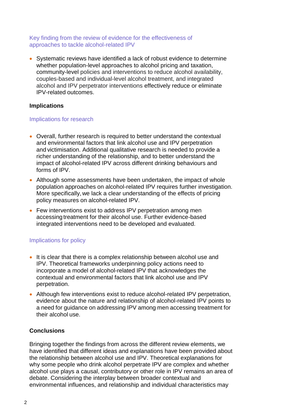#### Key finding from the review of evidence for the effectiveness of approaches to tackle alcohol-related IPV

• Systematic reviews have identified a lack of robust evidence to determine whether population-level approaches to alcohol pricing and taxation, community-level policies and interventions to reduce alcohol availability, couples-based and individual-level alcohol treatment, and integrated alcohol and IPV perpetrator interventions effectively reduce or eliminate IPV-related outcomes.

#### **Implications**

#### Implications for research

- Overall, further research is required to better understand the contextual and environmental factors that link alcohol use and IPV perpetration and victimisation. Additional qualitative research is needed to provide a richer understanding of the relationship, and to better understand the impact of alcohol-related IPV across different drinking behaviours and forms of IPV.
- Although some assessments have been undertaken, the impact of whole population approaches on alcohol-related IPV requires further investigation. More specifically, we lack a clear understanding of the effects of pricing policy measures on alcohol-related IPV.
- Few interventions exist to address IPV perpetration among men accessing treatment for their alcohol use. Further evidence-based integrated interventions need to be developed and evaluated.

#### Implications for policy

- It is clear that there is a complex relationship between alcohol use and IPV. Theoretical frameworks underpinning policy actions need to incorporate a model of alcohol-related IPV that acknowledges the contextual and environmental factors that link alcohol use and IPV perpetration.
- Although few interventions exist to reduce alcohol-related IPV perpetration, evidence about the nature and relationship of alcohol-related IPV points to a need for guidance on addressing IPV among men accessing treatment for their alcohol use.

#### **Conclusions**

Bringing together the findings from across the different review elements, we have identified that different ideas and explanations have been provided about the relationship between alcohol use and IPV. Theoretical explanations for why some people who drink alcohol perpetrate IPV are complex and whether alcohol use plays a causal, contributory or other role in IPV remains an area of debate. Considering the interplay between broader contextual and environmental influences, and relationship and individual characteristics may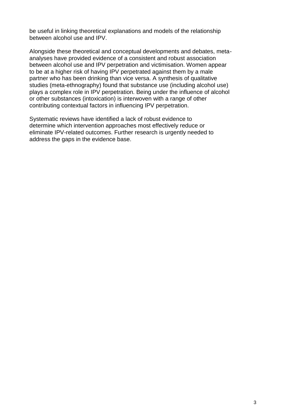be useful in linking theoretical explanations and models of the relationship between alcohol use and IPV.

Alongside these theoretical and conceptual developments and debates, metaanalyses have provided evidence of a consistent and robust association between alcohol use and IPV perpetration and victimisation. Women appear to be at a higher risk of having IPV perpetrated against them by a male partner who has been drinking than vice versa. A synthesis of qualitative studies (meta-ethnography) found that substance use (including alcohol use) plays a complex role in IPV perpetration. Being under the influence of alcohol or other substances (intoxication) is interwoven with a range of other contributing contextual factors in influencing IPV perpetration.

Systematic reviews have identified a lack of robust evidence to determine which intervention approaches most effectively reduce or eliminate IPV-related outcomes. Further research is urgently needed to address the gaps in the evidence base.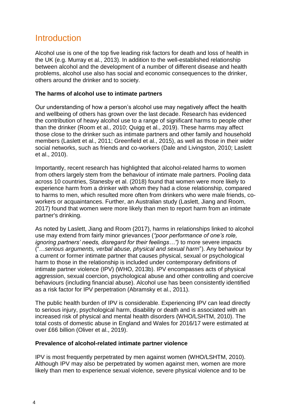# <span id="page-7-0"></span>**Introduction**

Alcohol use is one of the top five leading risk factors for death and loss of health in the UK (e.g. Murray et al., 2013). In addition to the well-established relationship between alcohol and the development of a number of different disease and health problems, alcohol use also has social and economic consequences to the drinker, others around the drinker and to society.

#### **The harms of alcohol use to intimate partners**

Our understanding of how a person's alcohol use may negatively affect the health and wellbeing of others has grown over the last decade. Research has evidenced the contribution of heavy alcohol use to a range of significant harms to people other than the drinker (Room et al., 2010; Quigg et al., 2019). These harms may affect those close to the drinker such as intimate partners and other family and household members (Laslett et al., 2011; Greenfield et al., 2015), as well as those in their wider social networks, such as friends and co-workers (Dale and Livingston, 2010; Laslett et al., 2010).

Importantly, recent research has highlighted that alcohol-related harms to women from others largely stem from the behaviour of intimate male partners. Pooling data across 10 countries, Stanesby et al. (2018) found that women were more likely to experience harm from a drinker with whom they had a close relationship, compared to harms to men, which resulted more often from drinkers who were male friends, coworkers or acquaintances. Further, an Australian study (Laslett, Jiang and Room, 2017) found that women were more likely than men to report harm from an intimate partner's drinking.

As noted by Laslett, Jiang and Room (2017), harms in relationships linked to alcohol use may extend from fairly minor grievances (*"poor performance of one's role, ignoring partners' needs, disregard for their feelings…")* to more severe impacts ("…*serious arguments, verbal abuse, physical and sexual harm*"). Any behaviour by a current or former intimate partner that causes physical, sexual or psychological harm to those in the relationship is included under contemporary definitions of intimate partner violence (IPV) (WHO, 2013b). IPV encompasses acts of physical aggression, sexual coercion, psychological abuse and other controlling and coercive behaviours (including financial abuse). Alcohol use has been consistently identified as a risk factor for IPV perpetration (Abramsky et al., 2011).

The public health burden of IPV is considerable. Experiencing IPV can lead directly to serious injury, psychological harm, disability or death and is associated with an increased risk of physical and mental health disorders (WHO/LSHTM, 2010). The total costs of domestic abuse in England and Wales for 2016/17 were estimated at over £66 billion (Oliver et al., 2019).

#### **Prevalence of alcohol-related intimate partner violence**

IPV is most frequently perpetrated by men against women (WHO/LSHTM, 2010). Although IPV may also be perpetrated by women against men, women are more likely than men to experience sexual violence, severe physical violence and to be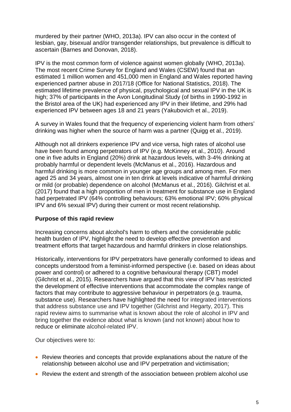murdered by their partner (WHO, 2013a). IPV can also occur in the context of lesbian, gay, bisexual and/or transgender relationships, but prevalence is difficult to ascertain (Barnes and Donovan, 2018).

IPV is the most common form of violence against women globally (WHO, 2013a). The most recent Crime Survey for England and Wales (CSEW) found that an estimated 1 million women and 451,000 men in England and Wales reported having experienced partner abuse in 2017/18 (Office for National Statistics, 2018). The estimated lifetime prevalence of physical, psychological and sexual IPV in the UK is high; 37% of participants in the Avon Longitudinal Study (of births in 1990-1992 in the Bristol area of the UK) had experienced any IPV in their lifetime, and 29% had experienced IPV between ages 18 and 21 years (Yakubovich et al., 2019).

A survey in Wales found that the frequency of experiencing violent harm from others' drinking was higher when the source of harm was a partner (Quigg et al., 2019).

Although not all drinkers experience IPV and vice versa, high rates of alcohol use have been found among perpetrators of IPV (e.g. McKinney et al., 2010). Around one in five adults in England (20%) drink at hazardous levels, with 3-4% drinking at probably harmful or dependent levels (McManus et al., 2016). Hazardous and harmful drinking is more common in younger age groups and among men. For men aged 25 and 34 years, almost one in ten drink at levels indicative of harmful drinking or mild (or probable) dependence on alcohol (McManus et al., 2016). Gilchrist et al. (2017) found that a high proportion of men in treatment for substance use in England had perpetrated IPV (64% controlling behaviours; 63% emotional IPV; 60% physical IPV and 6% sexual IPV) during their current or most recent relationship.

#### **Purpose of this rapid review**

Increasing concerns about alcohol's harm to others and the considerable public health burden of IPV, highlight the need to develop effective prevention and treatment efforts that target hazardous and harmful drinkers in close relationships.

Historically, interventions for IPV perpetrators have generally conformed to ideas and concepts understood from a feminist-informed perspective (i.e. based on ideas about power and control) or adhered to a cognitive behavioural therapy (CBT) model (Gilchrist et al., 2015). Researchers have argued that this view of IPV has restricted the development of effective interventions that accommodate the complex range of factors that may contribute to aggressive behaviour in perpetrators (e.g. trauma, substance use). Researchers have highlighted the need for integrated interventions that address substance use and IPV together (Gilchrist and Hegarty, 2017). This rapid review aims to summarise what is known about the role of alcohol in IPV and bring together the evidence about what is known (and not known) about how to reduce or eliminate alcohol-related IPV.

Our objectives were to:

- Review theories and concepts that provide explanations about the nature of the relationship between alcohol use and IPV perpetration and victimisation;
- Review the extent and strength of the association between problem alcohol use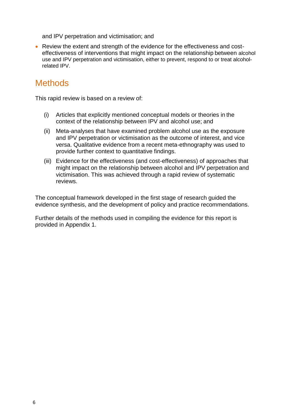and IPV perpetration and victimisation; and

• Review the extent and strength of the evidence for the effectiveness and costeffectiveness of interventions that might impact on the relationship between alcohol use and IPV perpetration and victimisation, either to prevent, respond to or treat alcoholrelated IPV.

## <span id="page-9-0"></span>Methods

This rapid review is based on a review of:

- (i) Articles that explicitly mentioned conceptual models or theories in the context of the relationship between IPV and alcohol use; and
- (ii) Meta-analyses that have examined problem alcohol use as the exposure and IPV perpetration or victimisation as the outcome of interest, and vice versa. Qualitative evidence from a recent meta-ethnography was used to provide further context to quantitative findings.
- (iii) Evidence for the effectiveness (and cost-effectiveness) of approaches that might impact on the relationship between alcohol and IPV perpetration and victimisation. This was achieved through a rapid review of systematic reviews.

The conceptual framework developed in the first stage of research guided the evidence synthesis, and the development of policy and practice recommendations.

Further details of the methods used in compiling the evidence for this report is provided in Appendix 1.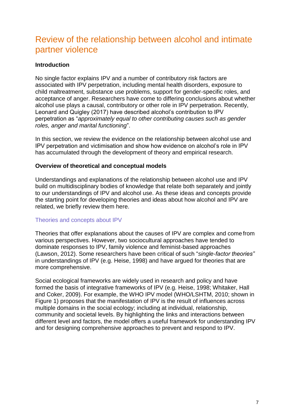## <span id="page-10-0"></span>Review of the relationship between alcohol and intimate partner violence

#### **Introduction**

No single factor explains IPV and a number of contributory risk factors are associated with IPV perpetration, including mental health disorders, exposure to child maltreatment, substance use problems, support for gender-specific roles, and acceptance of anger. Researchers have come to differing conclusions about whether alcohol use plays a causal, contributory or other role in IPV perpetration. Recently, Leonard and Quigley (2017) have described alcohol's contribution to IPV perpetration as "*approximately equal to other contributing causes such as gender roles, anger and marital functioning*".

In this section, we review the evidence on the relationship between alcohol use and IPV perpetration and victimisation and show how evidence on alcohol's role in IPV has accumulated through the development of theory and empirical research.

#### **Overview of theoretical and conceptual models**

Understandings and explanations of the relationship between alcohol use and IPV build on multidisciplinary bodies of knowledge that relate both separately and jointly to our understandings of IPV and alcohol use. As these ideas and concepts provide the starting point for developing theories and ideas about how alcohol and IPV are related, we briefly review them here.

#### Theories and concepts about IPV

Theories that offer explanations about the causes of IPV are complex and come from various perspectives. However, two sociocultural approaches have tended to dominate responses to IPV, family violence and feminist-based approaches (Lawson, 2012). Some researchers have been critical of such "*single-factor theories"*  in understandings of IPV (e.g. Heise, 1998) and have argued for theories that are more comprehensive.

Social ecological frameworks are widely used in research and policy and have formed the basis of integrative frameworks of IPV (e.g. Heise, 1998; Whitaker, Hall and Coker, 2009). For example, the WHO IPV model (WHO/LSHTM, 2010; shown in Figure 1) proposes that the manifestation of IPV is the result of influences across multiple domains in the social ecology; including at individual, relationship, community and societal levels. By highlighting the links and interactions between different level and factors, the model offers a useful framework for understanding IPV and for designing comprehensive approaches to prevent and respond to IPV.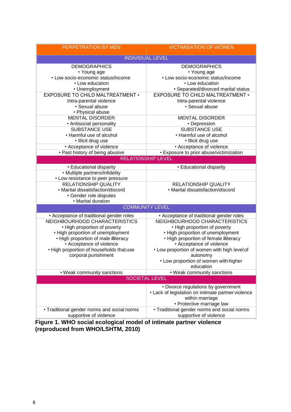| PERPETRATION BY MEN                                                   | <b>VICTIMISATION OF WOMEN</b>                                         |  |  |
|-----------------------------------------------------------------------|-----------------------------------------------------------------------|--|--|
|                                                                       | <b>INDIVIDUAL LEVEL</b>                                               |  |  |
| <b>DEMOGRAPHICS</b>                                                   | <b>DEMOGRAPHICS</b>                                                   |  |  |
| • Young age                                                           | • Young age                                                           |  |  |
| • Low socio-economic status/income                                    | • Low socio-economic status/income                                    |  |  |
| • Low education                                                       | • Low education                                                       |  |  |
| • Unemployment                                                        | • Separated/divorced marital status                                   |  |  |
| EXPOSURE TO CHILD MALTREATMENT .                                      | <b>EXPOSURE TO CHILD MALTREATMENT •</b>                               |  |  |
| Intra-parental violence                                               | Intra-parental violence                                               |  |  |
| · Sexual abuse                                                        | · Sexual abuse                                                        |  |  |
| • Physical abuse                                                      |                                                                       |  |  |
| <b>MENTAL DISORDER</b>                                                | <b>MENTAL DISORDER</b>                                                |  |  |
| • Antisocial personality                                              | • Depression                                                          |  |  |
| <b>SUBSTANCE USE</b>                                                  | SUBSTANCE USE                                                         |  |  |
| • Harmful use of alcohol                                              | • Harmful use of alcohol                                              |  |  |
| · Illicit drug use                                                    | • Illicit drug use                                                    |  |  |
| • Acceptance of violence                                              | • Acceptance of violence                                              |  |  |
| • Past history of being abusive                                       | • Exposure to prior abuse/victimization                               |  |  |
|                                                                       | <b>RELATIONSHIP LEVEL</b>                                             |  |  |
| • Educational disparity                                               | • Educational disparity                                               |  |  |
| • Multiple partners/infidelity                                        |                                                                       |  |  |
| • Low resistance to peer pressure                                     |                                                                       |  |  |
| <b>RELATIONSHIP QUALITY</b>                                           | <b>RELATIONSHIP QUALITY</b>                                           |  |  |
| • Marital dissatisfaction/discord                                     | • Marital dissatisfaction/discord                                     |  |  |
| • Gender role disputes                                                |                                                                       |  |  |
| • Marital duration                                                    |                                                                       |  |  |
|                                                                       | <b>COMMUNITY LEVEL</b>                                                |  |  |
| • Acceptance of traditional gender roles                              | • Acceptance of traditional gender roles                              |  |  |
| NEIGHBOURHOOD CHARACTERISTICS                                         | NEIGHBOURHOOD CHARACTERISTICS                                         |  |  |
| • High proportion of poverty                                          | • High proportion of poverty                                          |  |  |
| • High proportion of unemployment                                     | • High proportion of unemployment                                     |  |  |
| • High proportion of male illiteracy                                  | • High proportion of female illiteracy                                |  |  |
| • Acceptance of violence                                              | • Acceptance of violence                                              |  |  |
| . High proportion of households that use                              | • Low proportion of women with high level of                          |  |  |
| corporal punishment                                                   | autonomy                                                              |  |  |
|                                                                       | • Low proportion of women with higher<br>education                    |  |  |
| • Weak community sanctions                                            | • Weak community sanctions                                            |  |  |
|                                                                       | <b>SOCIETAL LEVEL</b>                                                 |  |  |
|                                                                       |                                                                       |  |  |
|                                                                       | • Divorce regulations by government                                   |  |  |
|                                                                       | • Lack of legislation on intimate partner violence                    |  |  |
|                                                                       | within marriage                                                       |  |  |
|                                                                       | • Protective marriage law                                             |  |  |
| • Traditional gender norms and social norms<br>supportive of violence | • Traditional gender norms and social norms<br>supportive of violence |  |  |
| Figure 1. WHO social ecological model of intimate partner violence    |                                                                       |  |  |

**(reproduced from WHO/LSHTM, 2010)**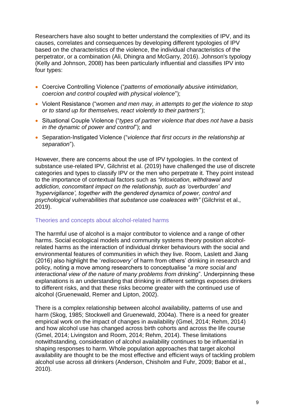Researchers have also sought to better understand the complexities of IPV, and its causes, correlates and consequences by developing different typologies of IPV based on the characteristics of the violence, the individual characteristics of the perpetrator, or a combination (Ali, Dhingra and McGarry, 2016). Johnson's typology (Kelly and Johnson, 2008) has been particularly influential and classifies IPV into four types:

- Coercive Controlling Violence ("*patterns of emotionally abusive intimidation, coercion and control coupled with physical violence*");
- Violent Resistance ("*women and men may, in attempts to get the violence to stop or to stand up for themselves, react violently to their partners*");
- Situational Couple Violence ("*types of partner violence that does not have a basis in the dynamic of power and control*"); and
- Separation-Instigated Violence ("*violence that first occurs in the relationship at separation*").

However, there are concerns about the use of IPV typologies. In the context of substance use-related IPV, Gilchrist et al. (2019) have challenged the use of discrete categories and types to classify IPV or the men who perpetrate it. They point instead to the importance of contextual factors such as *"intoxication, withdrawal and addiction, concomitant impact on the relationship, such as 'overburden' and 'hypervigilance', together with the gendered dynamics of power, control and psychological vulnerabilities that substance use coalesces with"* (Gilchrist et al., 2019).

#### Theories and concepts about alcohol-related harms

The harmful use of alcohol is a major contributor to violence and a range of other harms. Social ecological models and community systems theory position alcoholrelated harms as the interaction of individual drinker behaviours with the social and environmental features of communities in which they live. Room, Laslett and Jiang (2016) also highlight the '*rediscovery'* of harm from others' drinking in research and policy, noting a move among researchers to conceptualise "*a more social and interactional view of the nature of many problems from drinking*". Underpinning these explanations is an understanding that drinking in different settings exposes drinkers to different risks, and that these risks become greater with the continued use of alcohol (Gruenewald, Remer and Lipton, 2002).

There is a complex relationship between alcohol availability, patterns of use and harm (Skog, 1985; Stockwell and Gruenewald, 2004a). There is a need for greater empirical work on the impact of changes in availability (Gmel, 2014; Rehm, 2014) and how alcohol use has changed across birth cohorts and across the life course (Gmel, 2014; Livingston and Room, 2014; Rehm, 2014). These limitations notwithstanding, consideration of alcohol availability continues to be influential in shaping responses to harm. Whole population approaches that target alcohol availability are thought to be the most effective and efficient ways of tackling problem alcohol use across all drinkers (Anderson, Chisholm and Fuhr, 2009; Babor et al., 2010).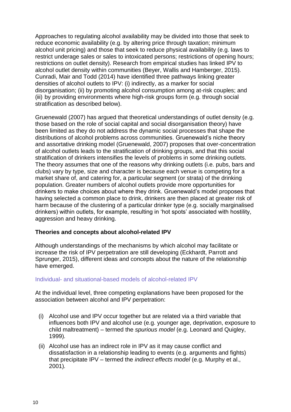Approaches to regulating alcohol availability may be divided into those that seek to reduce economic availability (e.g. by altering price through taxation; minimum alcohol unit pricing) and those that seek to reduce physical availability (e.g. laws to restrict underage sales or sales to intoxicated persons; restrictions of opening hours; restrictions on outlet density). Research from empirical studies has linked IPV to alcohol outlet density within communities (Beyer, Wallis and Hamberger, 2015). Cunradi, Mair and Todd (2014) have identified three pathways linking greater densities of alcohol outlets to IPV: (i) indirectly, as a marker for social disorganisation; (ii) by promoting alcohol consumption among at-risk couples; and (iii) by providing environments where high-risk groups form (e.g. through social stratification as described below).

Gruenewald (2007) has argued that theoretical understandings of outlet density (e.g. those based on the role of social capital and social disorganisation theory) have been limited as they do not address the dynamic social processes that shape the distributions of alcohol problems across communities. Gruenewald's niche theory and assortative drinking model (Gruenewald, 2007) proposes that over-concentration of alcohol outlets leads to the stratification of drinking groups, and that this social stratification of drinkers intensifies the levels of problems in some drinking outlets. The theory assumes that one of the reasons why drinking outlets (i.e. pubs, bars and clubs) vary by type, size and character is because each venue is competing for a market share of, and catering for, a particular segment (or strata) of the drinking population. Greater numbers of alcohol outlets provide more opportunities for drinkers to make choices about where they drink. Gruenewald's model proposes that having selected a common place to drink, drinkers are then placed at greater risk of harm because of the clustering of a particular drinker type (e.g. socially marginalised drinkers) within outlets, for example, resulting in 'hot spots' associated with hostility, aggression and heavy drinking.

#### **Theories and concepts about alcohol-related IPV**

Although understandings of the mechanisms by which alcohol may facilitate or increase the risk of IPV perpetration are still developing (Eckhardt, Parrott and Sprunger, 2015), different ideas and concepts about the nature of the relationship have emerged.

#### Individual- and situational-based models of alcohol-related IPV

At the individual level, three competing explanations have been proposed for the association between alcohol and IPV perpetration:

- (i) Alcohol use and IPV occur together but are related via a third variable that influences both IPV and alcohol use (e.g. younger age, deprivation, exposure to child maltreatment) – termed the *spurious model* (e.g. Leonard and Quigley, 1999)*.*
- (ii) Alcohol use has an indirect role in IPV as it may cause conflict and dissatisfaction in a relationship leading to events (e.g. arguments and fights) that precipitate IPV – termed the *indirect effects model* (e.g. Murphy et al., 2001)*.*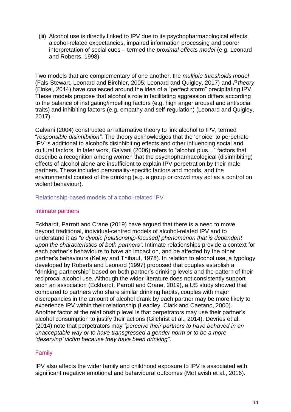(iii) Alcohol use is directly linked to IPV due to its psychopharmacological effects, alcohol-related expectancies, impaired information processing and poorer interpretation of social cues – termed the *proximal effects model* (e.g. Leonard and Roberts, 1998).

Two models that are complementary of one another, the *multiple thresholds model*  (Fals-Stewart, Leonard and Birchler, 2005; Leonard and Quigley, 2017) and *I <sup>3</sup>theory*  (Finkel, 2014) have coalesced around the idea of a "perfect storm" precipitating IPV. These models propose that alcohol's role in facilitating aggression differs according to the balance of instigating/impelling factors (e.g. high anger arousal and antisocial traits) and inhibiting factors (e.g. empathy and self-regulation) (Leonard and Quigley, 2017).

Galvani (2004) constructed an alternative theory to link alcohol to IPV, termed "*responsible disinhibition"*. The theory acknowledges that the 'choice' to perpetrate IPV is additional to alcohol's disinhibiting effects and other influencing social and cultural factors. In later work, Galvani (2006) refers to "alcohol plus…" factors that describe a recognition among women that the psychopharmacological (disinhibiting) effects of alcohol alone are insufficient to explain IPV perpetration by their male partners. These included personality-specific factors and moods, and the environmental context of the drinking (e.g. a group or crowd may act as a control on violent behaviour).

#### Relationship-based models of alcohol-related IPV

#### Intimate partners

Eckhardt, Parrott and Crane (2019) have argued that there is a need to move beyond traditional, individual-centred models of alcohol-related IPV and to understand it as *"a dyadic [relationship-focused] phenomenon that is dependent upon the characteristics of both partners"*. Intimate relationships provide a context for each partner's behaviours to have an impact on, and be affected by the other partner's behaviours (Kelley and Thibaut, 1978). In relation to alcohol use, a typology developed by Roberts and Leonard (1997) proposed that couples establish a "drinking partnership" based on both partner's drinking levels and the pattern of their reciprocal alcohol use. Although the wider literature does not consistently support such an association (Eckhardt, Parrott and Crane, 2019), a US study showed that compared to partners who share similar drinking habits, couples with major discrepancies in the amount of alcohol drank by each partner may be more likely to experience IPV within their relationship (Leadley, Clark and Caetano, 2000). Another factor at the relationship level is that perpetrators may use their partner's alcohol consumption to justify their actions (Gilchrist et al., 2014). Devries et al. (2014) note that perpetrators may *"perceive their partners to have behaved in an unacceptable way or to have transgressed a gender norm or to be a more 'deserving' victim because they have been drinking"*.

#### Family

IPV also affects the wider family and childhood exposure to IPV is associated with significant negative emotional and behavioural outcomes (McTavish et al., 2016).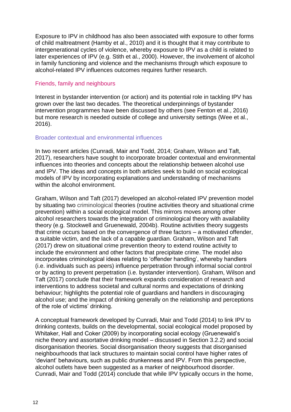Exposure to IPV in childhood has also been associated with exposure to other forms of child maltreatment (Hamby et al., 2010) and it is thought that it may contribute to intergenerational cycles of violence, whereby exposure to IPV as a child is related to later experiences of IPV (e.g. Stith et al., 2000). However, the involvement of alcohol in family functioning and violence and the mechanisms through which exposure to alcohol-related IPV influences outcomes requires further research.

#### Friends, family and neighbours

Interest in bystander intervention (or action) and its potential role in tackling IPV has grown over the last two decades. The theoretical underpinnings of bystander intervention programmes have been discussed by others (see Fenton et al., 2016) but more research is needed outside of college and university settings (Wee et al., 2016).

#### Broader contextual and environmental influences

In two recent articles (Cunradi, Mair and Todd, 2014; Graham, Wilson and Taft, 2017), researchers have sought to incorporate broader contextual and environmental influences into theories and concepts about the relationship between alcohol use and IPV. The ideas and concepts in both articles seek to build on social ecological models of IPV by incorporating explanations and understanding of mechanisms within the alcohol environment.

Graham, Wilson and Taft (2017) developed an alcohol-related IPV prevention model by situating two criminological theories (routine activities theory and situational crime prevention) within a social ecological model. This mirrors moves among other alcohol researchers towards the integration of criminological theory with availability theory (e.g. Stockwell and Gruenewald, 2004b). Routine activities theory suggests that crime occurs based on the convergence of three factors – a motivated offender, a suitable victim, and the lack of a capable guardian. Graham, Wilson and Taft (2017) drew on situational crime prevention theory to extend routine activity to include the environment and other factors that precipitate crime. The model also incorporates criminological ideas relating to 'offender handling', whereby handlers (i.e. individuals such as peers) influence perpetration through informal social control or by acting to prevent perpetration (i.e. bystander intervention). Graham, Wilson and Taft (2017) conclude that their framework expands consideration of research and interventions to address societal and cultural norms and expectations of drinking behaviour; highlights the potential role of guardians and handlers in discouraging alcohol use; and the impact of drinking generally on the relationship and perceptions of the role of victims' drinking.

A conceptual framework developed by Cunradi, Mair and Todd (2014) to link IPV to drinking contexts, builds on the developmental, social ecological model proposed by Whitaker, Hall and Coker (2009) by incorporating social ecology (Gruenewald's niche theory and assortative drinking model – discussed in Section 3.2.2) and social disorganisation theories. Social disorganisation theory suggests that disorganised neighbourhoods that lack structures to maintain social control have higher rates of 'deviant' behaviours, such as public drunkenness and IPV. From this perspective, alcohol outlets have been suggested as a marker of neighbourhood disorder. Cunradi, Mair and Todd (2014) conclude that while IPV typically occurs in the home,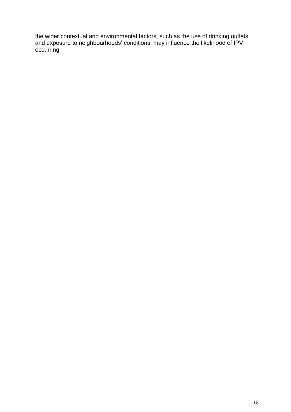the wider contextual and environmental factors, such as the use of drinking outlets and exposure to neighbourhoods' conditions, may influence the likelihood of IPV occurring.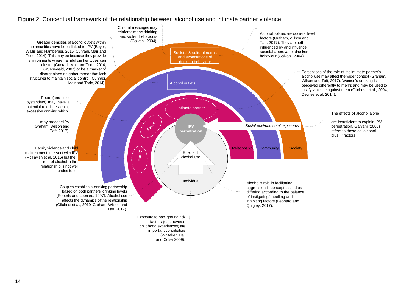#### Figure 2. Conceptual framework of the relationship between alcohol use and intimate partner violence

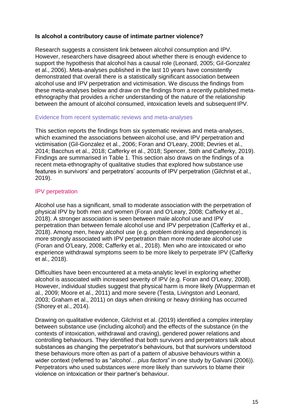#### **Is alcohol a contributory cause of intimate partner violence?**

Research suggests a consistent link between alcohol consumption and IPV. However, researchers have disagreed about whether there is enough evidence to support the hypothesis that alcohol has a causal role (Leonard, 2005; Gil-Gonzalez et al., 2006). Meta-analyses published in the last 10 years have consistently demonstrated that overall there is a statistically significant association between alcohol use and IPV perpetration and victimisation. We discuss the findings from these meta-analyses below and draw on the findings from a recently published metaethnography that provides a richer understanding of the nature of the relationship between the amount of alcohol consumed, intoxication levels and subsequent IPV.

#### Evidence from recent systematic reviews and meta-analyses

This section reports the findings from six systematic reviews and meta-analyses, which examined the associations between alcohol use, and IPV perpetration and victimisation (Gil-Gonzalez et al., 2006; Foran and O'Leary, 2008; Devries et al., 2014; Bacchus et al., 2018; Cafferky et al., 2018; Spencer, Stith and Cafferky, 2019). Findings are summarised in Table 1. This section also draws on the findings of a recent meta-ethnography of qualitative studies that explored how substance use features in survivors' and perpetrators' accounts of IPV perpetration (Gilchrist et al., 2019).

#### IPV perpetration

Alcohol use has a significant, small to moderate association with the perpetration of physical IPV by both men and women (Foran and O'Leary, 2008; Cafferky et al., 2018). A stronger association is seen between male alcohol use and IPV perpetration than between female alcohol use and IPV perpetration (Cafferky et al., 2018). Among men, heavy alcohol use (e.g. problem drinking and dependence) is more strongly associated with IPV perpetration than more moderate alcohol use (Foran and O'Leary, 2008; Cafferky et al., 2018). Men who are intoxicated or who experience withdrawal symptoms seem to be more likely to perpetrate IPV (Cafferky et al., 2018).

Difficulties have been encountered at a meta-analytic level in exploring whether alcohol is associated with increased severity of IPV (e.g. Foran and O'Leary, 2008). However, individual studies suggest that physical harm is more likely (Wupperman et al., 2009; Moore et al., 2011) and more severe (Testa, Livingston and Leonard, 2003; Graham et al., 2011) on days when drinking or heavy drinking has occurred (Shorey et al., 2014).

Drawing on qualitative evidence, Gilchrist et al. (2019) identified a complex interplay between substance use (including alcohol) and the effects of the substance (in the contexts of intoxication, withdrawal and craving), gendered power relations and controlling behaviours. They identified that both survivors and perpetrators talk about substances as changing the perpetrator's behaviours, but that survivors understood these behaviours more often as part of a pattern of abusive behaviours within a wider context (referred to as "*alcohol… plus factors*" in one study by Galvani (2006)). Perpetrators who used substances were more likely than survivors to blame their violence on intoxication or their partner's behaviour.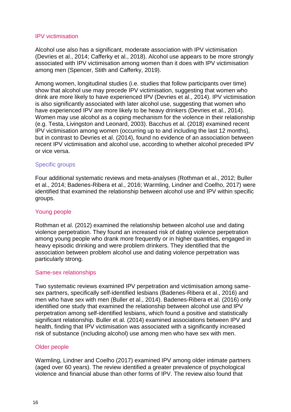#### IPV victimisation

Alcohol use also has a significant, moderate association with IPV victimisation (Devries et al., 2014; Cafferky et al., 2018). Alcohol use appears to be more strongly associated with IPV victimisation among women than it does with IPV victimisation among men (Spencer, Stith and Cafferky, 2019).

Among women, longitudinal studies (i.e. studies that follow participants over time) show that alcohol use may precede IPV victimisation, suggesting that women who drink are more likely to have experienced IPV (Devries et al., 2014). IPV victimisation is also significantly associated with later alcohol use, suggesting that women who have experienced IPV are more likely to be heavy drinkers (Devries et al., 2014). Women may use alcohol as a coping mechanism for the violence in their relationship (e.g. Testa, Livingston and Leonard, 2003). Bacchus et al. (2018) examined recent IPV victimisation among women (occurring up to and including the last 12 months), but in contrast to Devries et al. (2014), found no evidence of an association between recent IPV victimisation and alcohol use, according to whether alcohol preceded IPV or vice versa.

#### Specific groups

Four additional systematic reviews and meta-analyses (Rothman et al., 2012; Buller et al., 2014; Badenes-Ribera et al., 2016; Warmling, Lindner and Coelho, 2017) were identified that examined the relationship between alcohol use and IPV within specific groups.

#### Young people

Rothman et al. (2012) examined the relationship between alcohol use and dating violence perpetration. They found an increased risk of dating violence perpetration among young people who drank more frequently or in higher quantities, engaged in heavy episodic drinking and were problem drinkers. They identified that the association between problem alcohol use and dating violence perpetration was particularly strong.

#### Same-sex relationships

Two systematic reviews examined IPV perpetration and victimisation among samesex partners, specifically self-identified lesbians (Badenes-Ribera et al., 2016) and men who have sex with men (Buller et al., 2014). Badenes-Ribera et al. (2016) only identified one study that examined the relationship between alcohol use and IPV perpetration among self-identified lesbians, which found a positive and statistically significant relationship. Buller et al. (2014) examined associations between IPV and health, finding that IPV victimisation was associated with a significantly increased risk of substance (including alcohol) use among men who have sex with men.

#### Older people

Warmling, Lindner and Coelho (2017) examined IPV among older intimate partners (aged over 60 years). The review identified a greater prevalence of psychological violence and financial abuse than other forms of IPV. The review also found that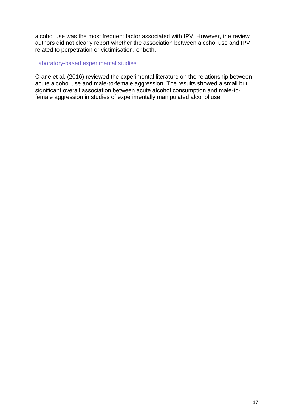alcohol use was the most frequent factor associated with IPV. However, the review authors did not clearly report whether the association between alcohol use and IPV related to perpetration or victimisation, or both.

#### Laboratory-based experimental studies

Crane et al. (2016) reviewed the experimental literature on the relationship between acute alcohol use and male-to-female aggression. The results showed a small but significant overall association between acute alcohol consumption and male-tofemale aggression in studies of experimentally manipulated alcohol use.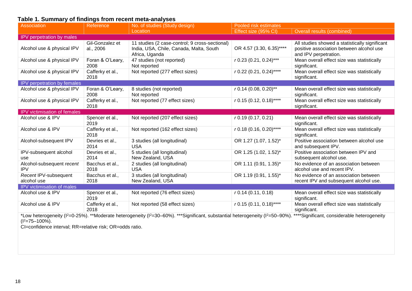#### **Table 1. Summary of findings from recent meta-analyses**

| <b>Association</b>                                                                                                                                                                                                                                                                              | Reference                    | No. of studies (Study design)                                                                               | Pooled risk estimates     |                                                                                                                     |  |
|-------------------------------------------------------------------------------------------------------------------------------------------------------------------------------------------------------------------------------------------------------------------------------------------------|------------------------------|-------------------------------------------------------------------------------------------------------------|---------------------------|---------------------------------------------------------------------------------------------------------------------|--|
|                                                                                                                                                                                                                                                                                                 |                              | Location                                                                                                    | Effect size (95% CI)      | Overall results (combined)                                                                                          |  |
| IPV perpetration by males                                                                                                                                                                                                                                                                       |                              |                                                                                                             |                           |                                                                                                                     |  |
| Alcohol use & physical IPV                                                                                                                                                                                                                                                                      | Gil-Gonzalez et<br>al., 2006 | 11 studies (2 case-control; 9 cross-sectional)<br>India, USA, Chile, Canada, Malta, South<br>Africa, Uganda | OR 4.57 (3.30, 6.35)****  | All studies showed a statistically significant<br>positive association between alcohol use<br>and IPV perpetration. |  |
| Alcohol use & physical IPV                                                                                                                                                                                                                                                                      | Foran & O'Leary,<br>2008     | 47 studies (not reported)<br>Not reported                                                                   | $r$ 0.23 (0.21, 0.24)***  | Mean overall effect size was statistically<br>significant.                                                          |  |
| Alcohol use & physical IPV                                                                                                                                                                                                                                                                      | Cafferky et al.,<br>2018     | Not reported (277 effect sizes)                                                                             | $r$ 0.22 (0.21, 0.24)**** | Mean overall effect size was statistically<br>significant.                                                          |  |
| IPV perpetration by females                                                                                                                                                                                                                                                                     |                              |                                                                                                             |                           |                                                                                                                     |  |
| Alcohol use & physical IPV                                                                                                                                                                                                                                                                      | Foran & O'Leary,<br>2008     | 8 studies (not reported)<br>Not reported                                                                    | $r$ 0.14 (0.08, 0.20)**   | Mean overall effect size was statistically<br>significant.                                                          |  |
| Alcohol use & physical IPV                                                                                                                                                                                                                                                                      | Cafferky et al.,<br>2018     | Not reported (77 effect sizes)                                                                              | $r$ 0.15 (0.12, 0.18)**** | Mean overall effect size was statistically<br>significant.                                                          |  |
| IPV victimisation of females                                                                                                                                                                                                                                                                    |                              |                                                                                                             |                           |                                                                                                                     |  |
| Alcohol use & IPV                                                                                                                                                                                                                                                                               | Spencer et al.,<br>2019      | Not reported (207 effect sizes)                                                                             | $r$ 0.19 $(0.17, 0.21)$   | Mean overall effect size was statistically<br>significant.                                                          |  |
| Alcohol use & IPV                                                                                                                                                                                                                                                                               | Cafferky et al.,<br>2018     | Not reported (162 effect sizes)                                                                             | $r$ 0.18 (0.16, 0.20)**** | Mean overall effect size was statistically<br>significant.                                                          |  |
| Alcohol-subsequent IPV                                                                                                                                                                                                                                                                          | Devries et al.,<br>2014      | 3 studies (all longitudinal)<br><b>USA</b>                                                                  | OR 1.27 (1.07, 1.52)*     | Positive association between alcohol use<br>and subsequent IPV.                                                     |  |
| IPV-subsequent alcohol<br>use                                                                                                                                                                                                                                                                   | Devries et al.,<br>2014      | 5 studies (all longitudinal)<br>New Zealand, USA                                                            | OR 1.25 (1.02, 1.52)*     | Positive association between IPV and<br>subsequent alcohol use.                                                     |  |
| Alcohol-subsequent recent<br><b>IPV</b>                                                                                                                                                                                                                                                         | Bacchus et al.,<br>2018      | 2 studies (all longitudinal)<br><b>USA</b>                                                                  | OR 1.11 (0.91, 1.35)*     | No evidence of an association between<br>alcohol use and recent IPV.                                                |  |
| Recent IPV-subsequent<br>alcohol use                                                                                                                                                                                                                                                            | Bacchus et al.,<br>2018      | 3 studies (all longitudinal)<br>New Zealand, USA                                                            | OR 1.19 (0.91, 1.55)*     | No evidence of an association between<br>recent IPV and subsequent alcohol use.                                     |  |
| IPV victimisation of males                                                                                                                                                                                                                                                                      |                              |                                                                                                             |                           |                                                                                                                     |  |
| Alcohol use & IPV                                                                                                                                                                                                                                                                               | Spencer et al.,<br>2019      | Not reported (76 effect sizes)                                                                              | $r$ 0.14 (0.11, 0.18)     | Mean overall effect size was statistically<br>significant.                                                          |  |
| Alcohol use & IPV                                                                                                                                                                                                                                                                               | Cafferky et al.,<br>2018     | Not reported (58 effect sizes)                                                                              | $r$ 0.15 (0.11, 0.18)**** | Mean overall effect size was statistically<br>significant.                                                          |  |
| *Low heterogeneity (I <sup>2</sup> =0-25%). **Moderate heterogeneity (I <sup>2</sup> =30–60%). ***Significant, substantial heterogeneity (I <sup>2</sup> =50–90%). ****Significant, considerable heterogeneity<br>$(I2=75-100\%)$ .<br>CI=confidence interval; RR=relative risk; OR=odds ratio. |                              |                                                                                                             |                           |                                                                                                                     |  |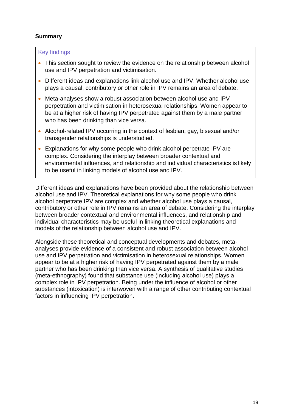#### **Summary**

#### Key findings

- This section sought to review the evidence on the relationship between alcohol use and IPV perpetration and victimisation.
- Different ideas and explanations link alcohol use and IPV. Whether alcohol use plays a causal, contributory or other role in IPV remains an area of debate.
- Meta-analyses show a robust association between alcohol use and IPV perpetration and victimisation in heterosexual relationships. Women appear to be at a higher risk of having IPV perpetrated against them by a male partner who has been drinking than vice versa.
- Alcohol-related IPV occurring in the context of lesbian, gay, bisexual and/or transgender relationships is understudied.
- Explanations for why some people who drink alcohol perpetrate IPV are complex. Considering the interplay between broader contextual and environmental influences, and relationship and individual characteristics is likely to be useful in linking models of alcohol use and IPV.

Different ideas and explanations have been provided about the relationship between alcohol use and IPV. Theoretical explanations for why some people who drink alcohol perpetrate IPV are complex and whether alcohol use plays a causal, contributory or other role in IPV remains an area of debate. Considering the interplay between broader contextual and environmental influences, and relationship and individual characteristics may be useful in linking theoretical explanations and models of the relationship between alcohol use and IPV.

Alongside these theoretical and conceptual developments and debates, metaanalyses provide evidence of a consistent and robust association between alcohol use and IPV perpetration and victimisation in heterosexual relationships. Women appear to be at a higher risk of having IPV perpetrated against them by a male partner who has been drinking than vice versa. A synthesis of qualitative studies (meta-ethnography) found that substance use (including alcohol use) plays a complex role in IPV perpetration. Being under the influence of alcohol or other substances (intoxication) is interwoven with a range of other contributing contextual factors in influencing IPV perpetration.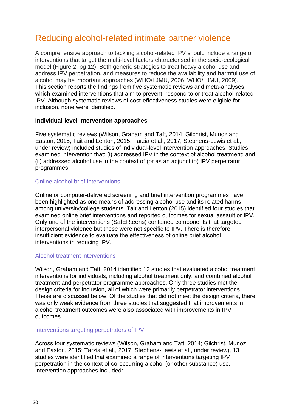# <span id="page-23-0"></span>Reducing alcohol-related intimate partner violence

A comprehensive approach to tackling alcohol-related IPV should include a range of interventions that target the multi-level factors characterised in the socio-ecological model (Figure 2, pg 12). Both generic strategies to treat heavy alcohol use and address IPV perpetration, and measures to reduce the availability and harmful use of alcohol may be important approaches (WHO/LJMU, 2006; WHO/LJMU, 2009). This section reports the findings from five systematic reviews and meta-analyses, which examined interventions that aim to prevent, respond to or treat alcohol-related IPV. Although systematic reviews of cost-effectiveness studies were eligible for inclusion, none were identified.

#### **Individual-level intervention approaches**

Five systematic reviews (Wilson, Graham and Taft, 2014; Gilchrist, Munoz and Easton, 2015; Tait and Lenton, 2015; Tarzia et al., 2017; Stephens-Lewis et al., under review) included studies of individual-level intervention approaches. Studies examined intervention that: (i) addressed IPV in the context of alcohol treatment; and (ii) addressed alcohol use in the context of (or as an adjunct to) IPV perpetrator programmes.

#### Online alcohol brief interventions

Online or computer-delivered screening and brief intervention programmes have been highlighted as one means of addressing alcohol use and its related harms among university/college students. Tait and Lenton (2015) identified four studies that examined online brief interventions and reported outcomes for sexual assault or IPV. Only one of the interventions (SafERteens) contained components that targeted interpersonal violence but these were not specific to IPV. There is therefore insufficient evidence to evaluate the effectiveness of online brief alcohol interventions in reducing IPV.

#### Alcohol treatment interventions

Wilson, Graham and Taft, 2014 identified 12 studies that evaluated alcohol treatment interventions for individuals, including alcohol treatment only, and combined alcohol treatment and perpetrator programme approaches. Only three studies met the design criteria for inclusion, all of which were primarily perpetrator interventions. These are discussed below. Of the studies that did not meet the design criteria, there was only weak evidence from three studies that suggested that improvements in alcohol treatment outcomes were also associated with improvements in IPV outcomes.

#### Interventions targeting perpetrators of IPV

Across four systematic reviews (Wilson, Graham and Taft, 2014; Gilchrist, Munoz and Easton, 2015; Tarzia et al., 2017; Stephens-Lewis et al., under review), 13 studies were identified that examined a range of interventions targeting IPV perpetration in the context of co-occurring alcohol (or other substance) use. Intervention approaches included: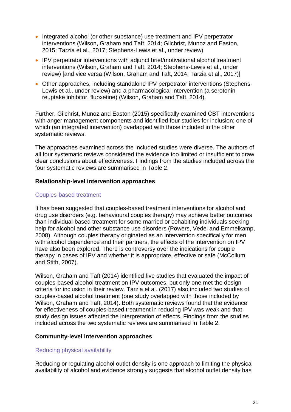- Integrated alcohol (or other substance) use treatment and IPV perpetrator interventions (Wilson, Graham and Taft, 2014; Gilchrist, Munoz and Easton, 2015; Tarzia et al., 2017; Stephens-Lewis et al., under review)
- IPV perpetrator interventions with adjunct brief/motivational alcohol treatment interventions (Wilson, Graham and Taft, 2014; Stephens-Lewis et al., under review) [and vice versa (Wilson, Graham and Taft, 2014; Tarzia et al., 2017)]
- Other approaches, including standalone IPV perpetrator interventions (Stephens-Lewis et al., under review) and a pharmacological intervention (a serotonin reuptake inhibitor, fluoxetine) (Wilson, Graham and Taft, 2014).

Further, Gilchrist, Munoz and Easton (2015) specifically examined CBT interventions with anger management components and identified four studies for inclusion; one of which (an integrated intervention) overlapped with those included in the other systematic reviews.

The approaches examined across the included studies were diverse. The authors of all four systematic reviews considered the evidence too limited or insufficient to draw clear conclusions about effectiveness. Findings from the studies included across the four systematic reviews are summarised in Table 2.

#### **Relationship-level intervention approaches**

#### Couples-based treatment

It has been suggested that couples-based treatment interventions for alcohol and drug use disorders (e.g. behavioural couples therapy) may achieve better outcomes than individual-based treatment for some married or cohabiting individuals seeking help for alcohol and other substance use disorders (Powers, Vedel and Emmelkamp, 2008). Although couples therapy originated as an intervention specifically for men with alcohol dependence and their partners, the effects of the intervention on IPV have also been explored. There is controversy over the indications for couple therapy in cases of IPV and whether it is appropriate, effective or safe (McCollum and Stith, 2007).

Wilson, Graham and Taft (2014) identified five studies that evaluated the impact of couples-based alcohol treatment on IPV outcomes, but only one met the design criteria for inclusion in their review. Tarzia et al. (2017) also included two studies of couples-based alcohol treatment (one study overlapped with those included by Wilson, Graham and Taft, 2014). Both systematic reviews found that the evidence for effectiveness of couples-based treatment in reducing IPV was weak and that study design issues affected the interpretation of effects. Findings from the studies included across the two systematic reviews are summarised in Table 2.

#### **Community-level intervention approaches**

#### Reducing physical availability

Reducing or regulating alcohol outlet density is one approach to limiting the physical availability of alcohol and evidence strongly suggests that alcohol outlet density has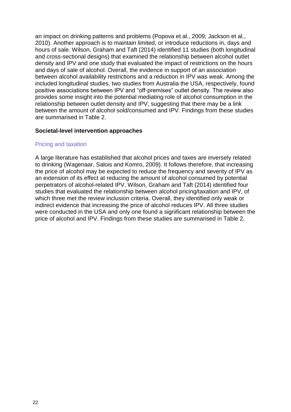an impact on drinking patterns and problems (Popova et al., 2009; Jackson et al., 2010). Another approach is to maintain limited, or introduce reductions in, days and hours of sale. Wilson, Graham and Taft (2014) identified 11 studies (both longitudinal and cross-sectional designs) that examined the relationship between alcohol outlet density and IPV and one study that evaluated the impact of restrictions on the hours and days of sale of alcohol. Overall, the evidence in support of an association between alcohol availability restrictions and a reduction in IPV was weak. Among the included longitudinal studies, two studies from Australia the USA, respectively, found positive associations between IPV and "off-premises" outlet density. The review also provides some insight into the potential mediating role of alcohol consumption in the relationship between outlet density and IPV, suggesting that there may be a link between the amount of alcohol sold/consumed and IPV. Findings from these studies are summarised in Table 2.

#### **Societal-level intervention approaches**

#### Pricing and taxation

A large literature has established that alcohol prices and taxes are inversely related to drinking (Wagenaar, Salois and Komro, 2009). It follows therefore, that increasing the price of alcohol may be expected to reduce the frequency and severity of IPV as an extension of its effect at reducing the amount of alcohol consumed by potential perpetrators of alcohol-related IPV. Wilson, Graham and Taft (2014) identified four studies that evaluated the relationship between alcohol pricing/taxation and IPV, of which three met the review inclusion criteria. Overall, they identified only weak or indirect evidence that increasing the price of alcohol reduces IPV. All three studies were conducted in the USA and only one found a significant relationship between the price of alcohol and IPV. Findings from these studies are summarised in Table 2.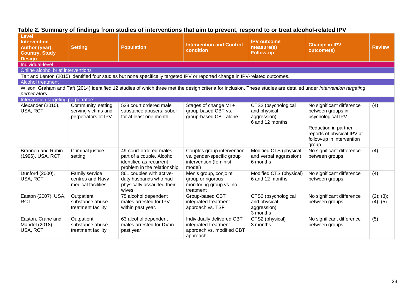#### **Table 2. Summary of findings from studies of interventions that aim to prevent, respond to or treat alcohol-related IPV**

| <b>Level</b><br><b>Intervention</b><br><b>Author (year),</b><br><b>Country, Study</b><br><b>Design</b> | <b>Setting</b>                                                  | <b>Population</b>                                                                                               | <b>Intervention and Control</b><br>condition                                                                                                                       | <b>IPV</b> outcome<br>measure(s)<br><b>Follow-up</b>                  | <b>Change in IPV</b><br>outcome(s)                                                                                                                                | <b>Review</b>         |
|--------------------------------------------------------------------------------------------------------|-----------------------------------------------------------------|-----------------------------------------------------------------------------------------------------------------|--------------------------------------------------------------------------------------------------------------------------------------------------------------------|-----------------------------------------------------------------------|-------------------------------------------------------------------------------------------------------------------------------------------------------------------|-----------------------|
| Individual-level                                                                                       |                                                                 |                                                                                                                 |                                                                                                                                                                    |                                                                       |                                                                                                                                                                   |                       |
| Online alcohol brief interventions                                                                     |                                                                 |                                                                                                                 |                                                                                                                                                                    |                                                                       |                                                                                                                                                                   |                       |
|                                                                                                        |                                                                 |                                                                                                                 | Tait and Lenton (2015) identified four studies but none specifically targeted IPV or reported change in IPV-related outcomes.                                      |                                                                       |                                                                                                                                                                   |                       |
| <b>Alcohol treatment</b>                                                                               |                                                                 |                                                                                                                 |                                                                                                                                                                    |                                                                       |                                                                                                                                                                   |                       |
| perpetrators.                                                                                          |                                                                 |                                                                                                                 | Wilson, Graham and Taft (2014) identified 12 studies of which three met the design criteria for inclusion. These studies are detailed under Intervention targeting |                                                                       |                                                                                                                                                                   |                       |
| Intervention targeting perpetrators                                                                    |                                                                 |                                                                                                                 |                                                                                                                                                                    |                                                                       |                                                                                                                                                                   |                       |
| Alexander (2010),<br>USA, RCT                                                                          | Community setting<br>serving victims and<br>perpetrators of IPV | 528 court ordered male<br>substance abusers; sober<br>for at least one month                                    | Stages of change MI +<br>group-based CBT vs.<br>group-based CBT alone                                                                                              | CTS2 (psychological<br>and physical<br>aggression)<br>6 and 12 months | No significant difference<br>between groups in<br>psychological IPV.<br>Reduction in partner<br>reports of physical IPV at<br>follow-up in intervention<br>group. | (4)                   |
| <b>Brannen and Rubin</b><br>(1996), USA, RCT                                                           | Criminal justice<br>setting                                     | 49 court ordered males,<br>part of a couple. Alcohol<br>identified as recurrent<br>problem in the relationship. | Couples group intervention<br>vs. gender-specific group<br>intervention (feminist<br>model)                                                                        | Modified CTS (physical<br>and verbal aggression)<br>6 months          | No significant difference<br>between groups                                                                                                                       | (4)                   |
| Dunford (2000),<br>USA, RCT                                                                            | Family service<br>centres and Navy<br>medical facilities        | 861 couples with active-<br>duty husbands who had<br>physically assaulted their<br>wives                        | Men's group, conjoint<br>group or rigorous<br>monitoring group vs. no<br>treatment                                                                                 | Modified CTS (physical)<br>6 and 12 months                            | No significant difference<br>between groups                                                                                                                       | (4)                   |
| Easton (2007), USA,<br><b>RCT</b>                                                                      | Outpatient<br>substance abuse<br>treatment facility             | 75 alcohol dependent<br>males arrested for IPV<br>within past year.                                             | Group-based CBT<br>integrated treatment<br>approach vs. TSF                                                                                                        | CTS2 (psychological<br>and physical<br>aggression)<br>3 months        | No significant difference<br>between groups                                                                                                                       | (2); (3);<br>(4); (5) |
| Easton, Crane and<br>Mandel (2018),<br>USA, RCT                                                        | Outpatient<br>substance abuse<br>treatment facility             | 63 alcohol dependent<br>males arrested for DV in<br>past year                                                   | Individually delivered CBT<br>integrated treatment<br>approach vs. modified CBT<br>approach                                                                        | CTS2 (physical)<br>3 months                                           | No significant difference<br>between groups                                                                                                                       | (5)                   |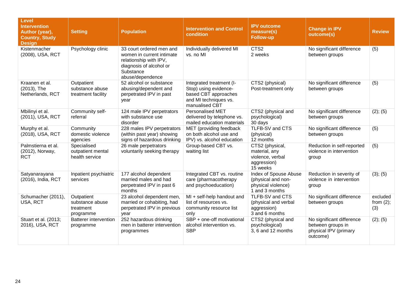| <b>Level</b><br><b>Intervention</b><br>Author (year),<br><b>Country, Study</b><br><b>Design</b> | <b>Setting</b>                                          | <b>Population</b>                                                                                                                           | <b>Intervention and Control</b><br>condition                                                                         | <b>IPV</b> outcome<br>measure(s)<br><b>Follow-up</b>                                | <b>Change in IPV</b><br>outcome(s)                                                  | <b>Review</b>                   |
|-------------------------------------------------------------------------------------------------|---------------------------------------------------------|---------------------------------------------------------------------------------------------------------------------------------------------|----------------------------------------------------------------------------------------------------------------------|-------------------------------------------------------------------------------------|-------------------------------------------------------------------------------------|---------------------------------|
| Kistenmacher<br>(2008), USA, RCT                                                                | Psychology clinic                                       | 33 court ordered men and<br>women in current intimate<br>relationship with IPV,<br>diagnosis of alcohol or<br>Substance<br>abuse/dependence | Individually delivered MI<br>vs. no MI                                                                               | CTS <sub>2</sub><br>2 weeks                                                         | No significant difference<br>between groups                                         | (5)                             |
| Kraanen et al.<br>(2013), The<br>Netherlands, RCT                                               | Outpatient<br>substance abuse<br>treatment facility     | 52 alcohol or substance<br>abusing/dependent and<br>perpetrated IPV in past<br>year                                                         | Integrated treatment (I-<br>Stop) using evidence-<br>based CBT approaches<br>and MI techniques vs.<br>manualised CBT | CTS2 (physical)<br>Post-treatment only                                              | No significant difference<br>between groups                                         | (5)                             |
| Mbilinyi et al.<br>(2011), USA, RCT                                                             | Community self-<br>referral                             | 124 male IPV perpetrators<br>with substance use<br>disorder                                                                                 | <b>Personalised MET</b><br>delivered by telephone vs.<br>mailed education materials                                  | CTS2 (physical and<br>psychological)<br>30 days                                     | No significant difference<br>between groups                                         | (2); (5)                        |
| Murphy et al.<br>(2018), USA, RCT                                                               | Community<br>domestic violence<br>agencies              | 228 males IPV perpetrators<br>(within past year) showing<br>signs of hazardous drinking                                                     | MET (providing feedback<br>on both alcohol use and<br>IPV) vs. alcohol education                                     | TLFB-SV and CTS<br>(physical)<br>12 months                                          | No significant difference<br>between groups                                         | (5)                             |
| Palmstierna et al.<br>(2012), Norway,<br><b>RCT</b>                                             | Specialised<br>outpatient mental<br>health service      | 26 male perpetrators<br>voluntarily seeking therapy                                                                                         | Group-based CBT vs.<br>waiting list                                                                                  | CTS2 (physical,<br>material, any<br>violence, verbal<br>aggression)<br>15 weeks     | Reduction in self-reported<br>violence in intervention<br>group                     | (5)                             |
| Satyanarayana<br>(2016), India, RCT                                                             | Inpatient psychiatric<br>services                       | 177 alcohol dependent<br>married males and had<br>perpetrated IPV in past 6<br>months                                                       | Integrated CBT vs. routine<br>care (pharmacotherapy<br>and psychoeducation)                                          | Index of Spouse Abuse<br>(physical and non-<br>physical violence)<br>1 and 3 months | Reduction in severity of<br>violence in intervention<br>group                       | (3); (5)                        |
| Schumacher (2011),<br>USA, RCT                                                                  | Outpatient<br>substance abuse<br>treatment<br>programme | 23 alcohol dependent men,<br>married or cohabiting, had<br>perpetrated IPV in previous<br>year                                              | MI + self-help handout and<br>list of resources vs.<br>community resource list<br>only                               | TLFB-SV and CTS<br>(physical and verbal<br>aggression)<br>3 and 6 months            | No significant difference<br>between groups                                         | excluded<br>from $(2)$ ;<br>(3) |
| Stuart et al. (2013;<br>2016), USA, RCT                                                         | <b>Batterer intervention</b><br>programme               | 252 hazardous drinking<br>men in batterer intervention<br>programmes                                                                        | SBP + one-off motivational<br>alcohol intervention vs.<br><b>SBP</b>                                                 | CTS2 (physical and<br>psychological)<br>3, 6 and 12 months                          | No significant difference<br>between groups in<br>physical IPV (primary<br>outcome) | (2); (5)                        |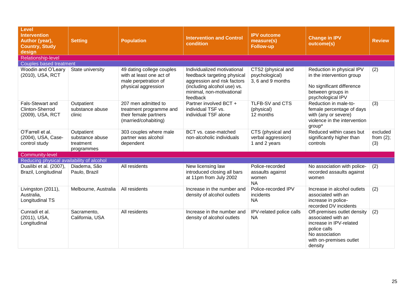| <b>Level</b><br><b>Intervention</b><br>Author (year),<br><b>Country, Study</b><br>design | <b>Setting</b>                                           | <b>Population</b>                                                                                    | <b>Intervention and Control</b><br>condition                                                                                                                      | <b>IPV</b> outcome<br>measure(s)<br><b>Follow-up</b>      | <b>Change in IPV</b><br>outcome(s)                                                                                                                   | <b>Review</b>                   |
|------------------------------------------------------------------------------------------|----------------------------------------------------------|------------------------------------------------------------------------------------------------------|-------------------------------------------------------------------------------------------------------------------------------------------------------------------|-----------------------------------------------------------|------------------------------------------------------------------------------------------------------------------------------------------------------|---------------------------------|
| Relationship-level                                                                       |                                                          |                                                                                                      |                                                                                                                                                                   |                                                           |                                                                                                                                                      |                                 |
| <b>Couples based treatment</b>                                                           |                                                          |                                                                                                      |                                                                                                                                                                   |                                                           |                                                                                                                                                      |                                 |
| Woodin and O'Leary<br>(2010), USA, RCT                                                   | State university                                         | 49 dating college couples<br>with at least one act of<br>male perpetration of<br>physical aggression | Individualized motivational<br>feedback targeting physical<br>aggression and risk factors<br>(including alcohol use) vs.<br>minimal, non-motivational<br>feedback | CTS2 (physical and<br>psychological)<br>3, 6 and 9 months | Reduction in physical IPV<br>in the intervention group<br>No significant difference<br>between groups in<br>psychological IPV                        | (2)                             |
| Fals-Stewart and<br>Clinton-Sherrod<br>(2009), USA, RCT                                  | Outpatient<br>substance abuse<br>clinic                  | 207 men admitted to<br>treatment programme and<br>their female partners<br>(married/cohabiting)      | Partner involved BCT +<br>individual TSF vs.<br>individual TSF alone                                                                                              | TLFB-SV and CTS<br>(physical)<br>12 months                | Reduction in male-to-<br>female percentage of days<br>with (any or severe)<br>violence in the intervention<br>group*                                 | (3)                             |
| O'Farrell et al.<br>(2004), USA, Case-<br>control study                                  | Outpatient<br>substance abuse<br>treatment<br>programmes | 303 couples where male<br>partner was alcohol<br>dependent                                           | BCT vs. case-matched<br>non-alcoholic individuals                                                                                                                 | CTS (physical and<br>verbal aggression)<br>1 and 2 years  | Reduced within cases but<br>significantly higher than<br>controls                                                                                    | excluded<br>from $(2)$ ;<br>(3) |
| <b>Community-level</b>                                                                   |                                                          |                                                                                                      |                                                                                                                                                                   |                                                           |                                                                                                                                                      |                                 |
| Reducing physical availability of alcohol                                                |                                                          |                                                                                                      |                                                                                                                                                                   |                                                           |                                                                                                                                                      |                                 |
| Duailibi et al. (2007),<br>Brazil, Longitudinal                                          | Diadema, São<br>Paulo, Brazil                            | All residents                                                                                        | New licensing law<br>introduced closing all bars<br>at 11pm from July 2002                                                                                        | Police-recorded<br>assaults against<br>women<br><b>NA</b> | No association with police-<br>recorded assaults against<br>women                                                                                    | (2)                             |
| Livingston (2011),<br>Australia,<br>Longitudinal TS                                      | Melbourne, Australia                                     | All residents                                                                                        | Increase in the number and<br>density of alcohol outlets                                                                                                          | Police-recorded IPV<br>incidents<br><b>NA</b>             | Increase in alcohol outlets<br>associated with an<br>increase in police-<br>recorded DV incidents                                                    | (2)                             |
| Cunradi et al.<br>(2011), USA,<br>Longitudinal                                           | Sacramento,<br>California, USA                           | All residents                                                                                        | Increase in the number and<br>density of alcohol outlets                                                                                                          | IPV-related police calls<br><b>NA</b>                     | Off-premises outlet density<br>associated with an<br>increase in IPV-related<br>police calls<br>No association<br>with on-premises outlet<br>density | (2)                             |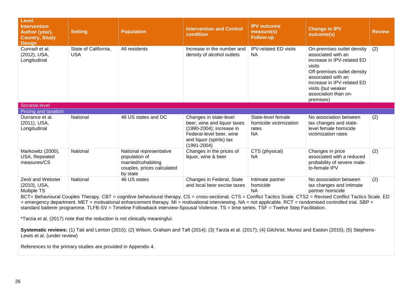| Level<br><b>Intervention</b><br>Author (year),<br><b>Country, Study</b><br><b>Design</b> | <b>Setting</b>                     | <b>Population</b>                                                                                        | <b>Intervention and Control</b><br>condition                                                                                                                                                                                                                                                                       | <b>IPV</b> outcome<br>measure(s)<br><b>Follow-up</b>               | <b>Change in IPV</b><br>outcome(s)                                                                                                                                                                                                     | <b>Review</b> |
|------------------------------------------------------------------------------------------|------------------------------------|----------------------------------------------------------------------------------------------------------|--------------------------------------------------------------------------------------------------------------------------------------------------------------------------------------------------------------------------------------------------------------------------------------------------------------------|--------------------------------------------------------------------|----------------------------------------------------------------------------------------------------------------------------------------------------------------------------------------------------------------------------------------|---------------|
| Cunradi et al.<br>(2012), USA,<br>Longitudinal                                           | State of California,<br><b>USA</b> | All residents                                                                                            | Increase in the number and<br>density of alcohol outlets                                                                                                                                                                                                                                                           | <b>IPV-related ED visits</b><br><b>NA</b>                          | On-premises outlet density<br>associated with an<br>increase in IPV-related ED<br>visits<br>Off-premises outlet density<br>associated with an<br>increase in IPV-related ED<br>visits (but weaker<br>association than on-<br>premises) | (2)           |
| Societal-level                                                                           |                                    |                                                                                                          |                                                                                                                                                                                                                                                                                                                    |                                                                    |                                                                                                                                                                                                                                        |               |
| Pricing and taxation                                                                     |                                    |                                                                                                          |                                                                                                                                                                                                                                                                                                                    |                                                                    |                                                                                                                                                                                                                                        |               |
| Durrance et al.<br>(2011), USA,<br>Longitudinal                                          | National                           | 46 US states and DC                                                                                      | Changes in state-level<br>beer, wine and liquor taxes<br>(1990-2004); increase in<br>Federal-level beer, wine<br>and liquor (spirits) tax<br>$(1991 - 2004)$                                                                                                                                                       | State-level female<br>homicide victimization<br>rates<br><b>NA</b> | No association between<br>tax changes and state-<br>level female homicide<br>victimization rates                                                                                                                                       | (2)           |
| Markowitz (2000),<br>USA, Repeated<br>measures/CS                                        | National                           | National representative<br>population of<br>married/cohabiting<br>couples, prices calculated<br>by state | Changes in the prices of<br>liquor, wine & beer                                                                                                                                                                                                                                                                    | CTS (physical)<br><b>NA</b>                                        | Changes in price<br>associated with a reduced<br>probability of severe male-<br>to-female IPV                                                                                                                                          | (2)           |
| Zeoli and Webster<br>(2010), USA,<br><b>Multiple TS</b>                                  | National                           | 46 US states                                                                                             | Changes in Federal, State<br>and local beer excise taxes                                                                                                                                                                                                                                                           | Intimate partner<br>homicide<br><b>NA</b>                          | No association between<br>tax changes and intimate<br>partner homicide                                                                                                                                                                 | (2)           |
|                                                                                          |                                    |                                                                                                          | BCT= Behavioural Couples Therapy. CBT = cognitive behavioural therapy. CS = cross-sectional. CTS = Conflict Tactics Scale. CTS2 = Revised Conflict Tactics Scale. ED<br>on the case MET and distributed a chairman contribution of the contribution of the contraction of the contract of the contract of the CDD. |                                                                    |                                                                                                                                                                                                                                        |               |

= emergency department. MET = motivational enhancement therapy. MI = motivational interviewing. NA = not applicable. RCT = randomised controlled trial. SBP = standard batterer programme. TLFB-SV = Timeline Followback interview-Spousal Violence. TS = time series. TSF = Twelve Step Facilitation.

\*Tarzia et al. (2017) note that the reduction is not clinically meaningful.

**Systematic reviews:** (1) Tait and Lenton (2015); (2) Wilson, Graham and Taft (2014); (3) Tarzia et al. (2017); (4) Gilchrist, Munoz and Easton (2015); (5) Stephens-Lewis et al. (under review)

References to the primary studies are provided in Appendix 4.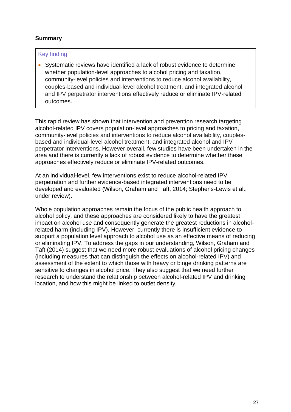#### **Summary**

#### Key finding

• Systematic reviews have identified a lack of robust evidence to determine whether population-level approaches to alcohol pricing and taxation, community-level policies and interventions to reduce alcohol availability, couples-based and individual-level alcohol treatment, and integrated alcohol and IPV perpetrator interventions effectively reduce or eliminate IPV-related outcomes.

This rapid review has shown that intervention and prevention research targeting alcohol-related IPV covers population-level approaches to pricing and taxation, community-level policies and interventions to reduce alcohol availability, couplesbased and individual-level alcohol treatment, and integrated alcohol and IPV perpetrator interventions. However overall, few studies have been undertaken in the area and there is currently a lack of robust evidence to determine whether these approaches effectively reduce or eliminate IPV-related outcomes.

At an individual-level, few interventions exist to reduce alcohol-related IPV perpetration and further evidence-based integrated interventions need to be developed and evaluated (Wilson, Graham and Taft, 2014; Stephens-Lewis et al., under review).

Whole population approaches remain the focus of the public health approach to alcohol policy, and these approaches are considered likely to have the greatest impact on alcohol use and consequently generate the greatest reductions in alcoholrelated harm (including IPV). However, currently there is insufficient evidence to support a population level approach to alcohol use as an effective means of reducing or eliminating IPV. To address the gaps in our understanding, Wilson, Graham and Taft (2014) suggest that we need more robust evaluations of alcohol pricing changes (including measures that can distinguish the effects on alcohol-related IPV) and assessment of the extent to which those with heavy or binge drinking patterns are sensitive to changes in alcohol price. They also suggest that we need further research to understand the relationship between alcohol-related IPV and drinking location, and how this might be linked to outlet density.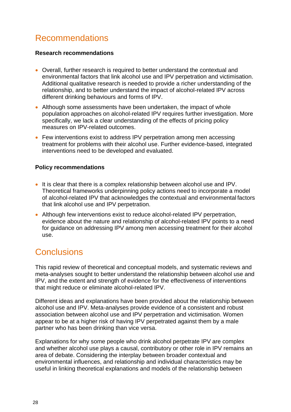# <span id="page-31-0"></span>Recommendations

#### **Research recommendations**

- Overall, further research is required to better understand the contextual and environmental factors that link alcohol use and IPV perpetration and victimisation. Additional qualitative research is needed to provide a richer understanding of the relationship, and to better understand the impact of alcohol-related IPV across different drinking behaviours and forms of IPV.
- Although some assessments have been undertaken, the impact of whole population approaches on alcohol-related IPV requires further investigation. More specifically, we lack a clear understanding of the effects of pricing policy measures on IPV-related outcomes.
- Few interventions exist to address IPV perpetration among men accessing treatment for problems with their alcohol use. Further evidence-based, integrated interventions need to be developed and evaluated.

#### **Policy recommendations**

- It is clear that there is a complex relationship between alcohol use and IPV. Theoretical frameworks underpinning policy actions need to incorporate a model of alcohol-related IPV that acknowledges the contextual and environmental factors that link alcohol use and IPV perpetration.
- Although few interventions exist to reduce alcohol-related IPV perpetration, evidence about the nature and relationship of alcohol-related IPV points to a need for guidance on addressing IPV among men accessing treatment for their alcohol use.

# <span id="page-31-1"></span>**Conclusions**

This rapid review of theoretical and conceptual models, and systematic reviews and meta-analyses sought to better understand the relationship between alcohol use and IPV, and the extent and strength of evidence for the effectiveness of interventions that might reduce or eliminate alcohol-related IPV.

Different ideas and explanations have been provided about the relationship between alcohol use and IPV. Meta-analyses provide evidence of a consistent and robust association between alcohol use and IPV perpetration and victimisation. Women appear to be at a higher risk of having IPV perpetrated against them by a male partner who has been drinking than vice versa.

Explanations for why some people who drink alcohol perpetrate IPV are complex and whether alcohol use plays a causal, contributory or other role in IPV remains an area of debate. Considering the interplay between broader contextual and environmental influences, and relationship and individual characteristics may be useful in linking theoretical explanations and models of the relationship between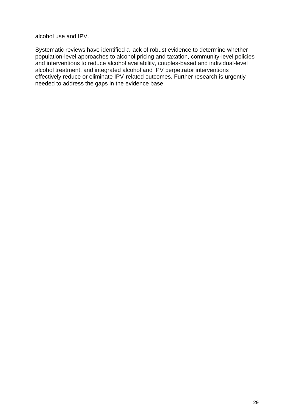alcohol use and IPV.

Systematic reviews have identified a lack of robust evidence to determine whether population-level approaches to alcohol pricing and taxation, community-level policies and interventions to reduce alcohol availability, couples-based and individual-level alcohol treatment, and integrated alcohol and IPV perpetrator interventions effectively reduce or eliminate IPV-related outcomes. Further research is urgently needed to address the gaps in the evidence base.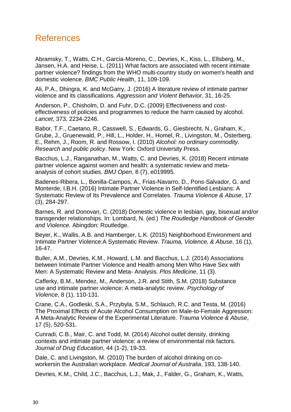### <span id="page-33-0"></span>References

Abramsky, T., Watts, C.H., Garcia-Moreno, C., Devries, K., Kiss, L., Ellsberg, M., Jansen, H.A. and Heise, L. (2011) What factors are associated with recent intimate partner violence? findings from the WHO multi-country study on women's health and domestic violence. *BMC Public Health*, 11, 109-109.

Ali, P.A., Dhingra, K. and McGarry, J. (2016) A literature review of intimate partner violence and its classifications. *Aggression and Violent Behavior*, 31, 16-25.

Anderson, P., Chisholm, D. and Fuhr, D.C. (2009) Effectiveness and costeffectiveness of policies and programmes to reduce the harm caused by alcohol. *Lancet*, 373, 2234-2246.

Babor, T.F., Caetano, R., Casswell, S., Edwards, G., Giesbrecht, N., Graham, K., Grube, J., Gruenewald, P., Hill, L., Holder, H., Homel, R., Livingston, M., Österberg, E., Rehm, J., Room, R. and Rossow, I. (2010) *Alcohol: no ordinary commodity. Research and public policy*. New York: Oxford University Press.

Bacchus, L.J., Ranganathan, M., Watts, C. and Devries, K. (2018) Recent intimate partner violence against women and health: a systematic review and metaanalysis of cohort studies. *BMJ Open*, 8 (7), e019995.

Badenes-Ribera, L., Bonilla-Campos, A., Frias-Navarro, D., Pons-Salvador, G. and Monterde, I.B.H. (2016) Intimate Partner Violence in Self-Identified Lesbians: A Systematic Review of Its Prevalence and Correlates. *Trauma Violence & Abuse*, 17 (3), 284-297.

Barnes, R. and Donovan, C. (2018) Domestic violence in lesbian, gay, bisexual and/or transgender relationships. In: Lombard, N. (ed.) *The Routledge Handbook of Gender and Violence.* Abingdon: Routledge.

Beyer, K., Wallis, A.B. and Hamberger, L.K. (2015) Neighborhood Environment and Intimate Partner Violence:A Systematic Review. *Trauma, Violence, & Abuse*, 16 (1), 16-47.

Buller, A.M., Devries, K.M., Howard, L.M. and Bacchus, L.J. (2014) Associations between Intimate Partner Violence and Health among Men Who Have Sex with Men: A Systematic Review and Meta- Analysis. *Plos Medicine*, 11 (3).

Cafferky, B.M., Mendez, M., Anderson, J.R. and Stith, S.M. (2018) Substance use and intimate partner violence: A meta-analytic review. *Psychology of Violence*, 8 (1), 110-131.

Crane, C.A., Godleski, S.A., Przybyla, S.M., Schlauch, R.C. and Testa, M. (2016) The Proximal Effects of Acute Alcohol Consumption on Male-to-Female Aggression: A Meta-Analytic Review of the Experimental Literature. *Trauma Violence & Abuse*, 17 (5), 520-531.

Cunradi, C.B., Mair, C. and Todd, M. (2014) Alcohol outlet density, drinking contexts and intimate partner violence: a review of environmental risk factors. *Journal of Drug Education*, 44 (1-2), 19-33.

Dale, C. and Livingston, M. (2010) The burden of alcohol drinking on coworkersin the Australian workplace. *Medical Journal of Australia*, 193, 138-140.

Devries, K.M., Child, J.C., Bacchus, L.J., Mak, J., Falder, G., Graham, K., Watts,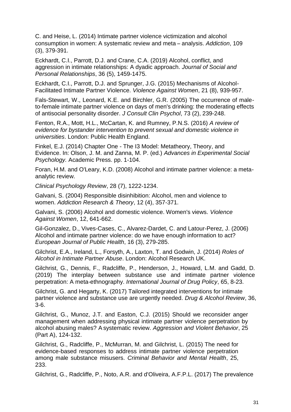C. and Heise, L. (2014) Intimate partner violence victimization and alcohol consumption in women: A systematic review and meta‐analysis. *Addiction*, <sup>109</sup> (3), 379-391.

Eckhardt, C.I., Parrott, D.J. and Crane, C.A. (2019) Alcohol, conflict, and aggression in intimate relationships: A dyadic approach. *Journal of Social and Personal Relationships*, 36 (5), 1459-1475.

Eckhardt, C.I., Parrott, D.J. and Sprunger, J.G. (2015) Mechanisms of Alcohol-Facilitated Intimate Partner Violence. *Violence Against Women*, 21 (8), 939-957.

Fals-Stewart, W., Leonard, K.E. and Birchler, G.R. (2005) The occurrence of maleto-female intimate partner violence on days of men's drinking: the moderating effects of antisocial personality disorder. *J Consult Clin Psychol*, 73 (2), 239-248.

Fenton, R.A., Mott, H.L., McCartan, K. and Rumney, P.N.S. (2016) *A review of evidence for bystander intervention to prevent sexual and domestic violence in universities*. London: Public Health England.

Finkel, E.J. (2014) Chapter One - The I3 Model: Metatheory, Theory, and Evidence. In: Olson, J. M. and Zanna, M. P. (ed.) *Advances in Experimental Social Psychology.* Academic Press. pp. 1-104.

Foran, H.M. and O'Leary, K.D. (2008) Alcohol and intimate partner violence: a metaanalytic review.

*Clinical Psychology Review*, 28 (7), 1222-1234.

Galvani, S. (2004) Responsible disinhibition: Alcohol, men and violence to women. *Addiction Research & Theory*, 12 (4), 357-371.

Galvani, S. (2006) Alcohol and domestic violence. Women's views. *Violence Against Women*, 12, 641-662.

Gil-Gonzalez, D., Vives-Cases, C., Alvarez-Dardet, C. and Latour-Perez, J. (2006) Alcohol and intimate partner violence: do we have enough information to act? *European Journal of Public Health*, 16 (3), 279-285.

Gilchrist, E.A., Ireland, L., Forsyth, A., Laxton, T. and Godwin, J. (2014) *Roles of Alcohol in Intimate Partner Abuse*. London: Alcohol Research UK.

Gilchrist, G., Dennis, F., Radcliffe, P., Henderson, J., Howard, L.M. and Gadd, D. (2019) The interplay between substance use and intimate partner violence perpetration: A meta-ethnography. *International Journal of Drug Policy*, 65, 8-23.

Gilchrist, G. and Hegarty, K. (2017) Tailored integrated interventions for intimate partner violence and substance use are urgently needed. *Drug & Alcohol Review*, 36, 3-6.

Gilchrist, G., Munoz, J.T. and Easton, C.J. (2015) Should we reconsider anger management when addressing physical intimate partner violence perpetration by alcohol abusing males? A systematic review. *Aggression and Violent Behavior*, 25 (Part A), 124-132.

Gilchrist, G., Radcliffe, P., McMurran, M. and Gilchrist, L. (2015) The need for evidence-based responses to address intimate partner violence perpetration among male substance misusers. *Criminal Behavior and Mental Health*, 25, 233.

Gilchrist, G., Radcliffe, P., Noto, A.R. and d'Oliveira, A.F.P.L. (2017) The prevalence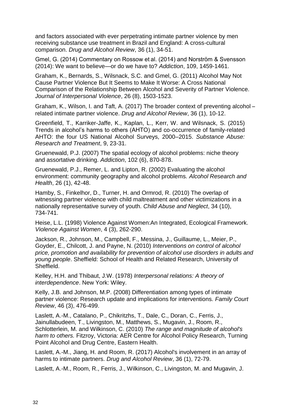and factors associated with ever perpetrating intimate partner violence by men receiving substance use treatment in Brazil and England: A cross-cultural comparison. *Drug and Alcohol Review*, 36 (1), 34-51.

Gmel, G. (2014) Commentary on Rossow et al. (2014) and Norström & Svensson (2014): We want to believe—or do we have to? *Addiction*, 109, 1459-1461.

Graham, K., Bernards, S., Wilsnack, S.C. and Gmel, G. (2011) Alcohol May Not Cause Partner Violence But It Seems to Make It Worse: A Cross National Comparison of the Relationship Between Alcohol and Severity of Partner Violence. *Journal of Interpersonal Violence*, 26 (8), 1503-1523.

Graham, K., Wilson, I. and Taft, A. (2017) The broader context of preventing alcohol – related intimate partner violence. *Drug and Alcohol Review*, 36 (1), 10-12.

Greenfield, T., Karriker-Jaffe, K., Kaplan, L., Kerr, W. and Wilsnack, S. (2015) Trends in alcohol's harms to others (AHTO) and co-occurrence of family-related AHTO: the four US National Alcohol Surveys, 2000–2015. *Substance Abuse: Research and Treatment*, 9, 23-31.

Gruenewald, P.J. (2007) The spatial ecology of alcohol problems: niche theory and assortative drinking. *Addiction*, 102 (6), 870-878.

Gruenewald, P.J., Remer, L. and Lipton, R. (2002) Evaluating the alcohol environment: community geography and alcohol problems. *Alcohol Research and Health*, 26 (1), 42-48.

Hamby, S., Finkelhor, D., Turner, H. and Ormrod, R. (2010) The overlap of witnessing partner violence with child maltreatment and other victimizations in a nationally representative survey of youth. *Child Abuse and Neglect*, 34 (10), 734-741.

Heise, L.L. (1998) Violence Against Women:An Integrated, Ecological Framework. *Violence Against Women*, 4 (3), 262-290.

Jackson, R., Johnson, M., Campbell, F., Messina, J., Guillaume, L., Meier, P., Goyder, E., Chilcott, J. and Payne, N. (2010) *Interventions on control of alcohol price, promotion and availability for prevention of alcohol use disorders in adults and young people*. Sheffield: School of Health and Related Research, University of Sheffield.

Kelley, H.H. and Thibaut, J.W. (1978) *Interpersonal relations: A theory of interdependence*. New York: Wiley.

Kelly, J.B. and Johnson, M.P. (2008) Differentiation among types of intimate partner violence: Research update and implications for interventions. *Family Court Review*, 46 (3), 476-499.

Laslett, A.-M., Catalano, P., Chikritzhs, T., Dale, C., Doran, C., Ferris, J., Jainullabudeen, T., Livingston, M., Matthews, S., Mugavin, J., Room, R., Schlotterlein, M. and Wilkinson, C. (2010) *The range and magnitude of alcohol's harm to others.* Fitzroy, Victoria: AER Centre for Alcohol Policy Research, Turning Point Alcohol and Drug Centre, Eastern Health.

Laslett, A.-M., Jiang, H. and Room, R. (2017) Alcohol's involvement in an array of harms to intimate partners. *Drug and Alcohol Review*, 36 (1), 72-79.

Laslett, A.-M., Room, R., Ferris, J., Wilkinson, C., Livingston, M. and Mugavin, J.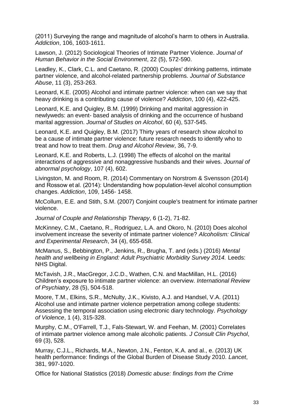(2011) Surveying the range and magnitude of alcohol's harm to others in Australia. *Addiction*, 106, 1603-1611.

Lawson, J. (2012) Sociological Theories of Intimate Partner Violence. *Journal of Human Behavior in the Social Environment*, 22 (5), 572-590.

Leadley, K., Clark, C.L. and Caetano, R. (2000) Couples' drinking patterns, intimate partner violence, and alcohol-related partnership problems. *Journal of Substance Abuse*, 11 (3), 253-263.

Leonard, K.E. (2005) Alcohol and intimate partner violence: when can we say that heavy drinking is a contributing cause of violence? *Addiction*, 100 (4), 422-425.

Leonard, K.E. and Quigley, B.M. (1999) Drinking and marital aggression in newlyweds: an event- based analysis of drinking and the occurrence of husband marital aggression. *Journal of Studies on Alcohol*, 60 (4), 537-545.

Leonard, K.E. and Quigley, B.M. (2017) Thirty years of research show alcohol to be a cause of intimate partner violence: future research needs to identify who to treat and how to treat them. *Drug and Alcohol Review*, 36, 7-9.

Leonard, K.E. and Roberts, L.J. (1998) The effects of alcohol on the marital interactions of aggressive and nonaggressive husbands and their wives. *Journal of abnormal psychology*, 107 (4), 602.

Livingston, M. and Room, R. (2014) Commentary on Norstrom & Svensson (2014) and Rossow et al. (2014): Understanding how population-level alcohol consumption changes. *Addiction*, 109, 1456- 1458.

McCollum, E.E. and Stith, S.M. (2007) Conjoint couple's treatment for intimate partner violence.

*Journal of Couple and Relationship Therapy*, 6 (1-2), 71-82.

McKinney, C.M., Caetano, R., Rodriguez, L.A. and Okoro, N. (2010) Does alcohol involvement increase the severity of intimate partner violence? *Alcoholism: Clinical and Experimental Research*, 34 (4), 655-658.

McManus, S., Bebbington, P., Jenkins, R., Brugha, T. and (eds.) (2016) *Mental*  health and wellbeing in England: Adult Psychiatric Morbidity Survey 2014. Leeds: NHS Digital.

McTavish, J.R., MacGregor, J.C.D., Wathen, C.N. and MacMillan, H.L. (2016) Children's exposure to intimate partner violence: an overview. *International Review of Psychiatry*, 28 (5), 504-518.

Moore, T.M., Elkins, S.R., McNulty, J.K., Kivisto, A.J. and Handsel, V.A. (2011) Alcohol use and intimate partner violence perpetration among college students: Assessing the temporal association using electronic diary technology. *Psychology of Violence*, 1 (4), 315-328.

Murphy, C.M., O'Farrell, T.J., Fals-Stewart, W. and Feehan, M. (2001) Correlates of intimate partner violence among male alcoholic patients. *J Consult Clin Psychol*, 69 (3), 528.

Murray, C.J.L., Richards, M.A., Newton, J.N., Fenton, K.A. and al., e. (2013) UK health performance: findings of the Global Burden of Disease Study 2010. *Lancet*, 381, 997-1020.

Office for National Statistics (2018) *Domestic abuse: findings from the Crime*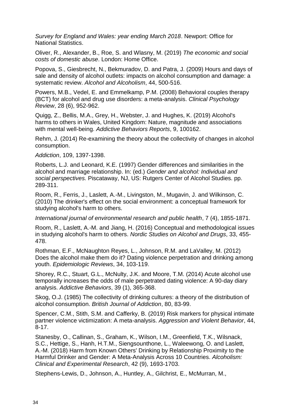*Survey for England and Wales: year ending March 2018*. Newport: Office for National Statistics.

Oliver, R., Alexander, B., Roe, S. and Wlasny, M. (2019) *The economic and social costs of domestic abuse*. London: Home Office.

Popova, S., Giesbrecht, N., Bekmuradov, D. and Patra, J. (2009) Hours and days of sale and density of alcohol outlets: impacts on alcohol consumption and damage: a systematic review. *Alcohol and Alcoholism*, 44, 500-516.

Powers, M.B., Vedel, E. and Emmelkamp, P.M. (2008) Behavioral couples therapy (BCT) for alcohol and drug use disorders: a meta-analysis. *Clinical Psychology Review*, 28 (6), 952-962.

Quigg, Z., Bellis, M.A., Grey, H., Webster, J. and Hughes, K. (2019) Alcohol's harms to others in Wales, United Kingdom: Nature, magnitude and associations with mental well-being. *Addictive Behaviors Reports*, 9, 100162.

Rehm, J. (2014) Re-examining the theory about the collectivity of changes in alcohol consumption.

*Addiction*, 109, 1397-1398.

Roberts, L.J. and Leonard, K.E. (1997) Gender differences and similarities in the alcohol and marriage relationship. In: (ed.) *Gender and alcohol: Individual and social perspectives.* Piscataway, NJ, US: Rutgers Center of Alcohol Studies. pp. 289-311.

Room, R., Ferris, J., Laslett, A.-M., Livingston, M., Mugavin, J. and Wilkinson, C. (2010) The drinker's effect on the social environment: a conceptual framework for studying alcohol's harm to others.

*International journal of environmental research and public health*, 7 (4), 1855-1871.

Room, R., Laslett, A.-M. and Jiang, H. (2016) Conceptual and methodological issues in studying alcohol's harm to others. *Nordic Studies on Alcohol and Drugs*, 33, 455- 478.

Rothman, E.F., McNaughton Reyes, L., Johnson, R.M. and LaValley, M. (2012) Does the alcohol make them do it? Dating violence perpetration and drinking among youth. *Epidemiologic Reviews*, 34, 103-119.

Shorey, R.C., Stuart, G.L., McNulty, J.K. and Moore, T.M. (2014) Acute alcohol use temporally increases the odds of male perpetrated dating violence: A 90-day diary analysis. *Addictive Behaviors*, 39 (1), 365-368.

Skog, O.J. (1985) The collectivity of drinking cultures: a theory of the distribution of alcohol consumption. *British Journal of Addiction*, 80, 83-99.

Spencer, C.M., Stith, S.M. and Cafferky, B. (2019) Risk markers for physical intimate partner violence victimization: A meta-analysis. *Aggression and Violent Behavior*, 44, 8-17.

Stanesby, O., Callinan, S., Graham, K., Wilson, I.M., Greenfield, T.K., Wilsnack, S.C., Hettige, S., Hanh, H.T.M., Siengsounthone, L., Waleewong, O. and Laslett, A.-M. (2018) Harm from Known Others' Drinking by Relationship Proximity to the Harmful Drinker and Gender: A Meta-Analysis Across 10 Countries. *Alcoholism: Clinical and Experimental Research*, 42 (9), 1693-1703.

Stephens-Lewis, D., Johnson, A., Huntley, A., Gilchrist, E., McMurran, M.,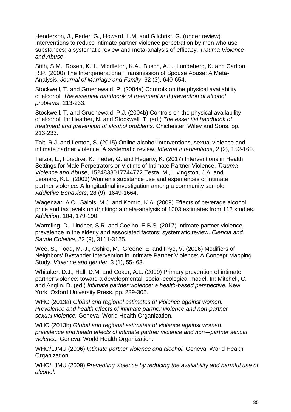Henderson, J., Feder, G., Howard, L.M. and Gilchrist, G. (under review) Interventions to reduce intimate partner violence perpetration by men who use substances: a systematic review and meta-analysis of efficacy. *Trauma Violence and Abuse*.

Stith, S.M., Rosen, K.H., Middleton, K.A., Busch, A.L., Lundeberg, K. and Carlton, R.P. (2000) The Intergenerational Transmission of Spouse Abuse: A Meta-Analysis. *Journal of Marriage and Family*, 62 (3), 640-654.

Stockwell, T. and Gruenewald, P. (2004a) Controls on the physical availability of alcohol. *The essential handbook of treatment and prevention of alcohol problems*, 213-233.

Stockwell, T. and Gruenewald, P.J. (2004b) Controls on the physical availability of alcohol. In: Heather, N. and Stockwell, T. (ed.) *The essential handbook of treatment and prevention of alcohol problems.* Chichester: Wiley and Sons. pp. 213-233.

Tait, R.J. and Lenton, S. (2015) Online alcohol interventions, sexual violence and intimate partner violence: A systematic review. *Internet Interventions*, 2 (2), 152-160.

Tarzia, L., Forsdike, K., Feder, G. and Hegarty, K. (2017) Interventions in Health Settings for Male Perpetrators or Victims of Intimate Partner Violence. *Trauma Violence and Abuse*, 1524838017744772.Testa, M., Livingston, J.A. and Leonard, K.E. (2003) Women's substance use and experiences of intimate partner violence: A longitudinal investigation among a community sample. *Addictive Behaviors*, 28 (9), 1649-1664.

Wagenaar, A.C., Salois, M.J. and Komro, K.A. (2009) Effects of beverage alcohol price and tax levels on drinking: a meta-analysis of 1003 estimates from 112 studies. *Addiction*, 104, 179-190.

Warmling, D., Lindner, S.R. and Coelho, E.B.S. (2017) Intimate partner violence prevalence in the elderly and associated factors: systematic review. *Ciencia and Saude Coletiva*, 22 (9), 3111-3125.

Wee, S., Todd, M.-J., Oshiro, M., Greene, E. and Frye, V. (2016) Modifiers of Neighbors' Bystander Intervention in Intimate Partner Violence: A Concept Mapping Study. *Violence and gender*, 3 (1), 55- 63.

Whitaker, D.J., Hall, D.M. and Coker, A.L. (2009) Primary prevention of intimate partner violence: toward a developmental, social-ecological model. In: Mitchell, C. and Anglin, D. (ed.) *Intimate partner violence: a health-based perspective.* New York: Oxford University Press. pp. 289-305.

WHO (2013a) *Global and regional estimates of violence against women: Prevalence and health effects of intimate partner violence and non-partner sexual violence.* Geneva: World Health Organization.

WHO (2013b) *Global and regional estimates of violence against women: prevalence and health effects of intimate partner violence and non‐partner sexual violence.* Geneva: World Health Organization.

WHO/LJMU (2006) *Intimate partner violence and alcohol.* Geneva: World Health Organization.

WHO/LJMU (2009) *Preventing violence by reducing the availability and harmful use of alcohol.*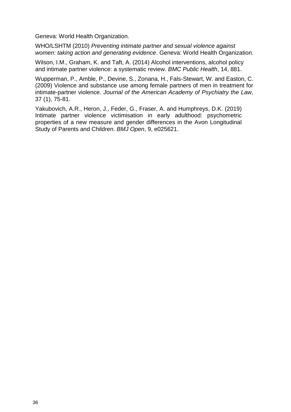Geneva: World Health Organization.

WHO/LSHTM (2010) *Preventing intimate partner and sexual violence against women: taking action and generating evidence*. Geneva: World Health Organization.

Wilson, I.M., Graham, K. and Taft, A. (2014) Alcohol interventions, alcohol policy and intimate partner violence: a systematic review. *BMC Public Health*, 14, 881.

Wupperman, P., Amble, P., Devine, S., Zonana, H., Fals-Stewart, W. and Easton, C. (2009) Violence and substance use among female partners of men in treatment for intimate-partner violence. *Journal of the American Academy of Psychiatry the Law*, 37 (1), 75-81.

Yakubovich, A.R., Heron, J., Feder, G., Fraser, A. and Humphreys, D.K. (2019) Intimate partner violence victimisation in early adulthood: psychometric properties of a new measure and gender differences in the Avon Longitudinal Study of Parents and Children. *BMJ Open*, 9, e025621.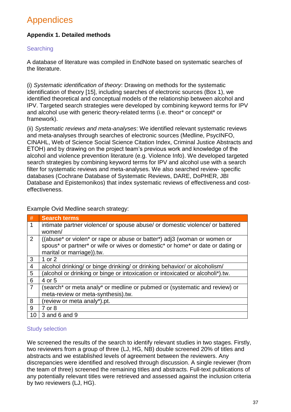# <span id="page-40-0"></span>Appendices

#### **Appendix 1. Detailed methods**

#### **Searching**

A database of literature was compiled in EndNote based on systematic searches of the literature.

(i) *Systematic identification of theory*: Drawing on methods for the systematic identification of theory [15], including searches of electronic sources (Box 1), we identified theoretical and conceptual models of the relationship between alcohol and IPV. Targeted search strategies were developed by combining keyword terms for IPV and alcohol use with generic theory-related terms (i.e. theor\* or concept\* or framework).

(ii) *Systematic reviews and meta-analyses*: We identified relevant systematic reviews and meta-analyses through searches of electronic sources (Medline, PsycINFO, CINAHL, Web of Science Social Science Citation Index, Criminal Justice Abstracts and ETOH) and by drawing on the project team's previous work and knowledge of the alcohol and violence prevention literature (e.g. Violence Info). We developed targeted search strategies by combining keyword terms for IPV and alcohol use with a search filter for systematic reviews and meta-analyses. We also searched review- specific databases (Cochrane Database of Systematic Reviews, DARE, DoPHER, JBI Database and Epistemonikos) that index systematic reviews of effectiveness and costeffectiveness.

Example Ovid Medline search strategy:

| #              | <b>Search terms</b>                                                                                                                                                                     |
|----------------|-----------------------------------------------------------------------------------------------------------------------------------------------------------------------------------------|
| $\mathbf{1}$   | intimate partner violence/ or spouse abuse/ or domestic violence/ or battered<br>women/                                                                                                 |
| 2              | ((abuse* or violen* or rape or abuse or batter*) adj3 (woman or women or<br>spous* or partner* or wife or wives or domestic* or home* or date or dating or<br>marital or marriage)).tw. |
| 3              | 1 or 2                                                                                                                                                                                  |
| $\overline{4}$ | alcohol drinking/ or binge drinking/ or drinking behavior/ or alcoholism/                                                                                                               |
| 5              | (alcohol or drinking or binge or intoxication or intoxicated or alcoholi*).tw.                                                                                                          |
| 6              | 4 or 5                                                                                                                                                                                  |
| $\overline{7}$ | (search <sup>*</sup> or meta analy <sup>*</sup> or medline or pubmed or (systematic and review) or                                                                                      |
|                | meta-review or meta-synthesis).tw.                                                                                                                                                      |
| 8              | (review or meta analy*).pt.                                                                                                                                                             |
| 9              | $7$ or $8$                                                                                                                                                                              |
| 10             | 3 and 6 and 9                                                                                                                                                                           |

#### Study selection

We screened the results of the search to identify relevant studies in two stages. Firstly, two reviewers from a group of three (LJ, HG, NB) double screened 20% of titles and abstracts and we established levels of agreement between the reviewers. Any discrepancies were identified and resolved through discussion. A single reviewer (from the team of three) screened the remaining titles and abstracts. Full-text publications of any potentially relevant titles were retrieved and assessed against the inclusion criteria by two reviewers (LJ, HG).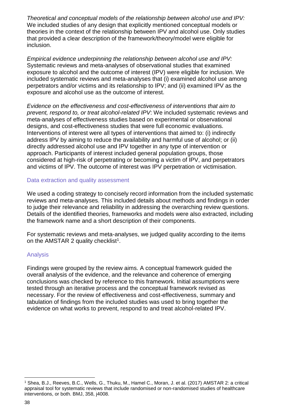*Theoretical and conceptual models of the relationship between alcohol use and IPV:*  We included studies of any design that explicitly mentioned conceptual models or theories in the context of the relationship between IPV and alcohol use. Only studies that provided a clear description of the framework/theory/model were eligible for inclusion.

*Empirical evidence underpinning the relationship between alcohol use and IPV:*  Systematic reviews and meta-analyses of observational studies that examined exposure to alcohol and the outcome of interest (IPV) were eligible for inclusion. We included systematic reviews and meta-analyses that (i) examined alcohol use among perpetrators and/or victims and its relationship to IPV; and (ii) examined IPV as the exposure and alcohol use as the outcome of interest.

*Evidence on the effectiveness and cost-effectiveness of interventions that aim to prevent, respond to, or treat alcohol-related IPV*: We included systematic reviews and meta-analyses of effectiveness studies based on experimental or observational designs, and cost-effectiveness studies that were full economic evaluations. Interventions of interest were all types of interventions that aimed to: (i) indirectly address IPV by aiming to reduce the availability and harmful use of alcohol; or (ii) directly addressed alcohol use and IPV together in any type of intervention or approach. Participants of interest included general population groups, those considered at high-risk of perpetrating or becoming a victim of IPV, and perpetrators and victims of IPV. The outcome of interest was IPV perpetration or victimisation.

#### Data extraction and quality assessment

We used a coding strategy to concisely record information from the included systematic reviews and meta-analyses. This included details about methods and findings in order to judge their relevance and reliability in addressing the overarching review questions. Details of the identified theories, frameworks and models were also extracted, including the framework name and a short description of their components.

For systematic reviews and meta-analyses, we judged quality according to the items on the AMSTAR 2 quality checklist<sup>1</sup>.

#### Analysis

Findings were grouped by the review aims. A conceptual framework guided the overall analysis of the evidence, and the relevance and coherence of emerging conclusions was checked by reference to this framework. Initial assumptions were tested through an iterative process and the conceptual framework revised as necessary. For the review of effectiveness and cost-effectiveness, summary and tabulation of findings from the included studies was used to bring together the evidence on what works to prevent, respond to and treat alcohol-related IPV.

<sup>1</sup> Shea, B.J., Reeves, B.C., Wells, G., Thuku, M., Hamel C., Moran, J. et al. (2017) AMSTAR 2: a critical appraisal tool for systematic reviews that include randomised or non-randomised studies of healthcare interventions, or both. BMJ, 358, j4008.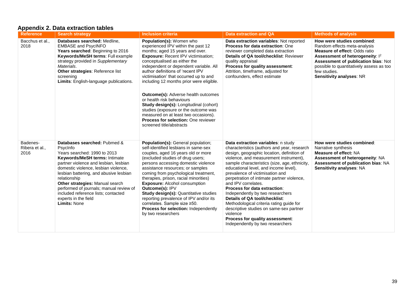#### **Appendix 2. Data extraction tables**

| <b>Reference</b>                   | <b>Search strategy</b>                                                                                                                                                                                                                                                                                                                                                                                                   | <b>Inclusion criteria</b>                                                                                                                                                                                                                                                                                                                                                                                                                                                                                                                                                                                                           | Data extraction and QA                                                                                                                                                                                                                                                                                                                                                                                                                                                                                                                                                                                                                                                   | <b>Methods of analysis</b>                                                                                                                                                                                                                                                  |
|------------------------------------|--------------------------------------------------------------------------------------------------------------------------------------------------------------------------------------------------------------------------------------------------------------------------------------------------------------------------------------------------------------------------------------------------------------------------|-------------------------------------------------------------------------------------------------------------------------------------------------------------------------------------------------------------------------------------------------------------------------------------------------------------------------------------------------------------------------------------------------------------------------------------------------------------------------------------------------------------------------------------------------------------------------------------------------------------------------------------|--------------------------------------------------------------------------------------------------------------------------------------------------------------------------------------------------------------------------------------------------------------------------------------------------------------------------------------------------------------------------------------------------------------------------------------------------------------------------------------------------------------------------------------------------------------------------------------------------------------------------------------------------------------------------|-----------------------------------------------------------------------------------------------------------------------------------------------------------------------------------------------------------------------------------------------------------------------------|
| Bacchus et al.,<br>2018            | Databases searched: Medline.<br><b>EMBASE and PsycINFO</b><br>Years searched: Beginning to 2016<br>Keywords/MeSH terms: Full example<br>strategy provided in Supplementary<br>Materials.<br>Other strategies: Reference list<br>screening<br>Limits: English-language publications.                                                                                                                                      | Population(s): Women who<br>experienced IPV within the past 12<br>months; aged 15 years and over.<br><b>Exposure: Recent IPV victimisation;</b><br>conceptualised as either the<br>independent or dependent variable. All<br>author definitions of 'recent IPV<br>victimisation' that occurred up to and<br>including 12 months prior were eligible.<br><b>Outcome(s): Adverse health outcomes</b><br>or health risk behaviours<br>Study design(s): Longitudinal (cohort)<br>studies (exposure or the outcome was<br>measured on at least two occasions).<br><b>Process for selection: One reviewer</b><br>screened title/abstracts | Data extraction variables: Not reported<br><b>Process for data extraction: One</b><br>reviewer completed data extraction<br>Details of QA tool/checklist: Reviewer<br>quality appraisal<br>Process for quality assessment:<br>Attrition, timeframe, adjusted for<br>confounders, effect estimate                                                                                                                                                                                                                                                                                                                                                                         | How were studies combined:<br>Random effects meta-analysis<br><b>Measure of effect: Odds ratio</b><br>Assessment of heterogeneity: 12<br><b>Assessment of publication bias: Not</b><br>possible to quantitatively assess as too<br>few studies.<br>Sensitivity analyses: NR |
| Badenes-<br>Ribera et al.,<br>2016 | Databases searched: Pubmed &<br>PsycInfo<br>Years searched: 1990 to 2013<br>Keywords/MeSH terms: Intimate<br>partner violence and lesbian, lesbian<br>domestic violence, lesbian violence,<br>lesbian battering, and abusive lesbian<br>relationship<br>Other strategies: Manual search<br>performed of journals; manual review of<br>included reference lists; contacted<br>experts in the field<br><b>Limits: None</b> | Population(s): General population;<br>self-identified lesbians in same-sex<br>couples, aged 16 years old or more<br>(excluded studies of drug users;<br>persons accessing domestic violence<br>assistance resources; or samples<br>coming from psychological treatment,<br>therapies, prison, racial minorities)<br><b>Exposure:</b> Alcohol consumption<br>Outcome(s): IPV<br><b>Study design(s): Quantitative studies</b><br>reporting prevalence of IPV and/or its<br>correlates. Sample size ≥50.<br>Process for selection: Independently<br>by two researchers                                                                 | Data extraction variables: n study<br>characteristics (authors and year, research<br>design, geographic location, definition of<br>violence, and measurement instrument),<br>sample characteristics (size, age, ethnicity,<br>educational level, and income level),<br>prevalence of victimisation and<br>perpetration of intimate partner violence,<br>and IPV correlates.<br><b>Process for data extraction:</b><br>Independently by two researchers<br><b>Details of QA tool/checklist:</b><br>Methodological criteria rating guide for<br>descriptive studies on same-sex partner<br>violence<br>Process for quality assessment:<br>Independently by two researchers | How were studies combined:<br>Narrative synthesis<br><b>Measure of effect: NA</b><br>Assessment of heterogeneity: NA<br><b>Assessment of publication bias: NA</b><br>Sensitivity analyses: NA                                                                               |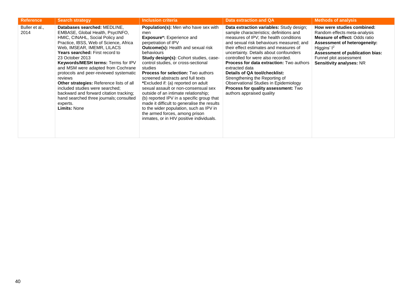| <b>Reference</b>       | <b>Search strategy</b>                                                                                                                                                                                                                                                                                                                                                                                                                                                                                                                                                     | <b>Inclusion criteria</b>                                                                                                                                                                                                                                                                                                                                                                                                                                                                                                                                                                                                                                                                          | Data extraction and QA                                                                                                                                                                                                                                                                                                                                                                                                                                                                                                                                          | <b>Methods of analysis</b>                                                                                                                                                                                                                                  |
|------------------------|----------------------------------------------------------------------------------------------------------------------------------------------------------------------------------------------------------------------------------------------------------------------------------------------------------------------------------------------------------------------------------------------------------------------------------------------------------------------------------------------------------------------------------------------------------------------------|----------------------------------------------------------------------------------------------------------------------------------------------------------------------------------------------------------------------------------------------------------------------------------------------------------------------------------------------------------------------------------------------------------------------------------------------------------------------------------------------------------------------------------------------------------------------------------------------------------------------------------------------------------------------------------------------------|-----------------------------------------------------------------------------------------------------------------------------------------------------------------------------------------------------------------------------------------------------------------------------------------------------------------------------------------------------------------------------------------------------------------------------------------------------------------------------------------------------------------------------------------------------------------|-------------------------------------------------------------------------------------------------------------------------------------------------------------------------------------------------------------------------------------------------------------|
| Buller et al.,<br>2014 | Databases searched: MEDLINE,<br>EMBASE, Global Health, PsycINFO,<br>HMIC, CINAHL, Social Policy and<br>Practice, IBSS, Web of Science, Africa<br>Web, IMSEAR, IMEMR, LILACS<br>Years searched: First record to<br>23 October 2013<br>Keywords/MESH terms: Terms for IPV<br>and MSM were adapted from Cochrane<br>protocols and peer-reviewed systematic<br>reviews<br>Other strategies: Reference lists of all<br>included studies were searched;<br>backward and forward citation tracking;<br>hand searched three journals; consulted<br>experts.<br><b>Limits: None</b> | Population(s): Men who have sex with<br>men<br><b>Exposure*:</b> Experience and<br>perpetration of IPV<br><b>Outcome(s):</b> Health and sexual risk<br>behaviours<br><b>Study design(s): Cohort studies, case-</b><br>control studies, or cross-sectional<br>studies<br><b>Process for selection:</b> Two authors<br>screened abstracts and full texts<br>*Excluded if: (a) reported on adult<br>sexual assault or non-consensual sex<br>outside of an intimate relationship;<br>(b) reported IPV in a specific group that<br>made it difficult to generalise the results<br>to the wider population, such as IPV in<br>the armed forces, among prison<br>inmates, or in HIV positive individuals. | Data extraction variables: Study design;<br>sample characteristics; definitions and<br>measures of IPV; the health conditions<br>and sexual risk behaviours measured; and<br>their effect estimates and measures of<br>uncertainty. Details about confounders<br>controlled for were also recorded.<br><b>Process for data extraction:</b> Two authors<br>extracted data<br>Details of QA tool/checklist:<br>Strengthening the Reporting of<br>Observational Studies in Epidemiology<br><b>Process for quality assessment: Two</b><br>authors appraised quality | How were studies combined:<br>Random effects meta-analysis<br><b>Measure of effect: Odds ratio</b><br><b>Assessment of heterogeneity:</b><br>Higgins' $1^2$<br>Assessment of publication bias:<br>Funnel plot assessment<br><b>Sensitivity analyses: NR</b> |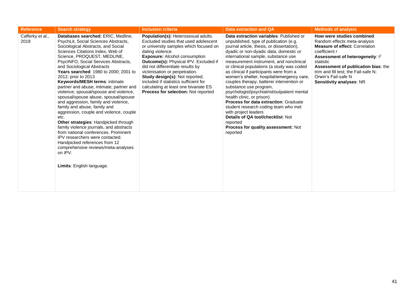| <b>Reference</b>         | <b>Search strategy</b>                                                                                                                                                                                                                                                                                                                                                                                                                                                                                                                                                                                                                                                                                                                                                                                                                                                                            | <b>Inclusion criteria</b>                                                                                                                                                                                                                                                                                                                                                                                                                                                  | <b>Data extraction and QA</b>                                                                                                                                                                                                                                                                                                                                                                                                                                                                                                                                                                                                                                                                                                                                                   | <b>Methods of analysis</b>                                                                                                                                                                                                                                                                                         |
|--------------------------|---------------------------------------------------------------------------------------------------------------------------------------------------------------------------------------------------------------------------------------------------------------------------------------------------------------------------------------------------------------------------------------------------------------------------------------------------------------------------------------------------------------------------------------------------------------------------------------------------------------------------------------------------------------------------------------------------------------------------------------------------------------------------------------------------------------------------------------------------------------------------------------------------|----------------------------------------------------------------------------------------------------------------------------------------------------------------------------------------------------------------------------------------------------------------------------------------------------------------------------------------------------------------------------------------------------------------------------------------------------------------------------|---------------------------------------------------------------------------------------------------------------------------------------------------------------------------------------------------------------------------------------------------------------------------------------------------------------------------------------------------------------------------------------------------------------------------------------------------------------------------------------------------------------------------------------------------------------------------------------------------------------------------------------------------------------------------------------------------------------------------------------------------------------------------------|--------------------------------------------------------------------------------------------------------------------------------------------------------------------------------------------------------------------------------------------------------------------------------------------------------------------|
| Cafferky et al.,<br>2018 | Databases searched: ERIC, Medline,<br>PsychLit, Social Sciences Abstracts,<br>Sociological Abstracts, and Social<br>Sciences Citations Index, Web of<br>Science, PROQUEST, MEDLINE,<br>PsycINFO, Social Services Abstracts,<br>and Sociological Abstracts<br>Years searched: 1980 to 2000; 2001 to<br>2012; prior to 2013<br>Keywords/MESH terms: intimate<br>partner and abuse, intimate; partner and<br>violence; spousal/spouse and violence,<br>spousal/spouse abuse, spousal/spouse<br>and aggression, family and violence,<br>family and abuse, family and<br>aggression, couple and violence, couple<br>etc.<br>Other strategies: Handpicked through<br>family violence journals, and abstracts<br>from national conferences. Prominent<br>IPV researchers were contacted.<br>Handpicked references from 12<br>comprehensive reviews/meta-analyses<br>on IPV.<br>Limits: English language. | <b>Population(s):</b> Heterosexual adults.<br>Excluded studies that used adolescent<br>or university samples which focused on<br>dating violence.<br><b>Exposure:</b> Alcohol consumption<br>Outcome(s): Physical IPV. Excluded if<br>did not differentiate results by<br>victimisation or perpetration.<br>Study design(s): Not reported;<br>included if statistics sufficient for<br>calculating at least one bivariate ES<br><b>Process for selection: Not reported</b> | Data extraction variables: Published or<br>unpublished, type of publication (e.g.<br>journal article, thesis, or dissertation),<br>dyadic or non-dyadic data, domestic or<br>international sample, substance use<br>measurement instrument, and nonclinical<br>or clinical populations (a study was coded<br>as clinical if participants were from a<br>women's shelter, hospital/emergency care,<br>couples therapy, batterer intervention or<br>substance use program,<br>psychologist/psychiatrist/outpatient mental<br>health clinic, or prison)<br><b>Process for data extraction: Graduate</b><br>student research coding team who met<br>with project leaders<br><b>Details of QA tool/checklist: Not</b><br>reported<br>Process for quality assessment: Not<br>reported | How were studies combined:<br>Random effects meta-analysis<br><b>Measure of effect: Correlation</b><br>coefficient r<br>Assessment of heterogeneity: I <sup>2</sup><br>statistic<br>Assessment of publication bias: the<br>trim and fill test; the Fail-safe N;<br>Orwin's Fail-safe N<br>Sensitivity analyses: NR |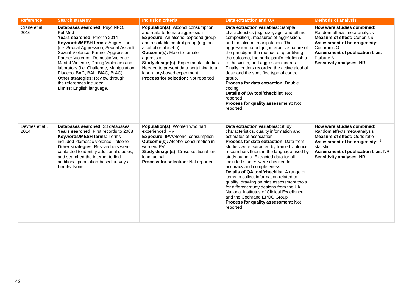| <b>Reference</b>      | <b>Search strategy</b>                                                                                                                                                                                                                                                                                                                                                                                                                                       | <b>Inclusion criteria</b>                                                                                                                                                                                                                                                                                                                                                       | Data extraction and QA                                                                                                                                                                                                                                                                                                                                                                                                                                                                                                                                                                                                                                                    | <b>Methods of analysis</b>                                                                                                                                                                                             |
|-----------------------|--------------------------------------------------------------------------------------------------------------------------------------------------------------------------------------------------------------------------------------------------------------------------------------------------------------------------------------------------------------------------------------------------------------------------------------------------------------|---------------------------------------------------------------------------------------------------------------------------------------------------------------------------------------------------------------------------------------------------------------------------------------------------------------------------------------------------------------------------------|---------------------------------------------------------------------------------------------------------------------------------------------------------------------------------------------------------------------------------------------------------------------------------------------------------------------------------------------------------------------------------------------------------------------------------------------------------------------------------------------------------------------------------------------------------------------------------------------------------------------------------------------------------------------------|------------------------------------------------------------------------------------------------------------------------------------------------------------------------------------------------------------------------|
| Crane et al.,<br>2016 | Databases searched: PsycINFO,<br>PubMed<br>Years searched: Prior to 2014<br>Keywords/MESH terms: Aggression<br>(i.e. Sexual Aggression, Sexual Assault,<br>Sexual Violence, Partner Aggression,<br>Partner Violence, Domestic Violence,<br>Marital Violence, Dating Violence) and<br>laboratory (i.e. Challenge, Manipulation,<br>Placebo, BAC, BAL, BIAC, BrAC)<br>Other strategies: Review through<br>the references included<br>Limits: English language. | Population(s): Alcohol consumption<br>and male-to-female aggression<br>Exposure: An alcohol exposed group<br>and a suitable control group (e.g. no<br>alcohol or placebo)<br>Outcome(s): Male-to-female<br>aggression<br>Study design(s): Experimental studies.<br>Needed to present data pertaining to a<br>laboratory-based experiment<br>Process for selection: Not reported | Data extraction variables: Sample<br>characteristics (e.g. size, age, and ethnic<br>composition), measures of aggression,<br>and the alcohol manipulation. The<br>aggression paradigm, interactive nature of<br>the paradigm, the method of quantifying<br>the outcome, the participant's relationship<br>to the victim, and aggression scores.<br>Finally, coders recorded the active alcohol<br>dose and the specified type of control<br>group.<br>Process for data extraction: Double<br>coding<br>Details of QA tool/checklist: Not<br>reported<br>Process for quality assessment: Not<br>reported                                                                   | How were studies combined:<br>Random effects meta-analysis<br>Measure of effect: Cohen's d<br>Assessment of heterogeneity:<br>Cochran's Q<br>Assessment of publication bias:<br>Failsafe N<br>Sensitivity analyses: NR |
| Devries et al<br>2014 | Databases searched: 23 databases<br>Years searched: First records to 2008<br>Keywords/MESH terms: Terms<br>included 'domestic violence', 'alcohol'<br>Other strategies: Researchers were<br>contacted to identify additional studies,<br>and searched the internet to find<br>additional population-based surveys<br>Limits: None                                                                                                                            | Population(s): Women who had<br>experienced IPV<br>Exposure: IPV/Alcohol consumption<br><b>Outcome(s):</b> Alcohol consumption in<br>women/IPV<br>Study design(s): Cross-sectional and<br>longitudinal<br>Process for selection: Not reported                                                                                                                                   | Data extraction variables: Study<br>characteristics, quality information and<br>estimates of association<br>Process for data extraction: Data from<br>studies were extracted by trained violence<br>researchers fluent in the language used by<br>study authors. Extracted data for all<br>included studies were checked for<br>accuracy and completeness.<br>Details of QA tool/checklist: A range of<br>items to collect information related to<br>quality, drawing on bias assessment tools<br>for different study designs from the UK<br>National Institutes of Clinical Excellence<br>and the Cochrane EPOC Group<br>Process for quality assessment: Not<br>reported | How were studies combined:<br>Random effects meta-analysis<br><b>Measure of effect: Odds ratio</b><br>Assessment of heterogeneity:  2<br>statistic<br>Assessment of publication bias: NR<br>Sensitivity analyses: NR   |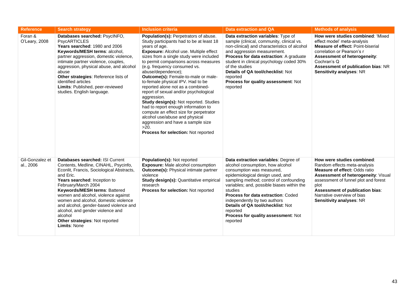| <b>Reference</b>             | <b>Search strategy</b>                                                                                                                                                                                                                                                                                                                                                                                                                                                                                                                                                                                                                                                                           | <b>Inclusion criteria</b>                                                                                                                                                                                                                                                                                                                                                                                                                                                                                                                                                                                                                                                                                        | <b>Data extraction and QA</b><br><b>Methods of analysis</b>                                                                                                                                                                                                                                                                                                                                                                    |                                                                                                                                                                                                                                                                                        |  |  |  |  |
|------------------------------|--------------------------------------------------------------------------------------------------------------------------------------------------------------------------------------------------------------------------------------------------------------------------------------------------------------------------------------------------------------------------------------------------------------------------------------------------------------------------------------------------------------------------------------------------------------------------------------------------------------------------------------------------------------------------------------------------|------------------------------------------------------------------------------------------------------------------------------------------------------------------------------------------------------------------------------------------------------------------------------------------------------------------------------------------------------------------------------------------------------------------------------------------------------------------------------------------------------------------------------------------------------------------------------------------------------------------------------------------------------------------------------------------------------------------|--------------------------------------------------------------------------------------------------------------------------------------------------------------------------------------------------------------------------------------------------------------------------------------------------------------------------------------------------------------------------------------------------------------------------------|----------------------------------------------------------------------------------------------------------------------------------------------------------------------------------------------------------------------------------------------------------------------------------------|--|--|--|--|
| Foran &<br>O'Leary, 2008     | Databases searched: PsycINFO,<br><b>PsycARTICLES</b><br>Years searched: 1980 and 2006<br>Keywords/MESH terms: alcohol,<br>partner aggression, domestic violence,<br>intimate partner violence, couples,<br>aggression, physical abuse, and alcohol<br>abuse<br>Other strategies: Reference lists of<br>identified articles<br>Limits: Published, peer-reviewed<br>studies. English language.                                                                                                                                                                                                                                                                                                     | Population(s): Perpetrators of abuse.<br>Study participants had to be at least 18<br>years of age.<br>Exposure: Alcohol use. Multiple effect<br>sizes from a single study were included<br>to permit comparisons across measures<br>(e.g. frequency consumed vs.<br>abuse/dependence);<br>Outcome(s): Female-to-male or male-<br>to-female physical IPV. Had to be<br>reported alone not as a combined-<br>report of sexual and/or psychological<br>aggression.<br>Study design(s): Not reported. Studies<br>had to report enough information to<br>compute an effect size for perpetrator<br>alcohol use/abuse and physical<br>aggression and have a sample size<br>>20.<br>Process for selection: Not reported | Data extraction variables: Type of<br>sample (clinical, community, clinical vs.<br>non-clinical) and characteristics of alcohol<br>and aggression measurement.<br>Process for data extraction: A graduate<br>student in clinical psychology coded 30%<br>of the studies<br>Details of QA tool/checklist: Not<br>reported<br>Process for quality assessment: Not<br>reported                                                    | effect model' meta-analysis<br><b>Measure of effect: Point-biserial</b><br>correlation or Pearson's r<br>Assessment of heterogeneity:<br>Cochran's Q<br>Assessment of publication bias: NR<br>Sensitivity analyses: NR                                                                 |  |  |  |  |
| Gil-Gonzalez et<br>al., 2006 | Databases searched: ISI Current<br>Population(s): Not reported<br><b>Exposure:</b> Male alcohol consumption<br>Contents, Medline, CINAHL, Psycinfo,<br>Econlit, Francis, Sociological Abstracts,<br><b>Outcome(s): Physical intimate partner</b><br>and Eric.<br>violence<br>Years searched: Inception to<br>Study design(s): Quantitative empirical<br>February/March 2004<br>research<br>Keywords/MESH terms: Battered<br>Process for selection: Not reported<br>women and alcohol, violence against<br>women and alcohol, domestic violence<br>and alcohol, gender-based violence and<br>alcohol, and gender violence and<br>alcohol<br>Other strategies: Not reported<br><b>Limits: None</b> |                                                                                                                                                                                                                                                                                                                                                                                                                                                                                                                                                                                                                                                                                                                  | Data extraction variables: Degree of<br>alcohol consumption, how alcohol<br>consumption was measured,<br>epidemiological design used, and<br>sampling method; control of confounding<br>variables; and, possible biases within the<br>studies<br>Process for data extraction: Coded<br>independently by two authors<br><b>Details of QA tool/checklist: Not</b><br>reported<br>Process for quality assessment: Not<br>reported | How were studies combined:<br>Random effects meta-analysis<br><b>Measure of effect: Odds ratio</b><br>Assessment of heterogeneity: Visual<br>assessment of funnel plot and forest<br>plot<br>Assessment of publication bias:<br>Narrative overview of bias<br>Sensitivity analyses: NR |  |  |  |  |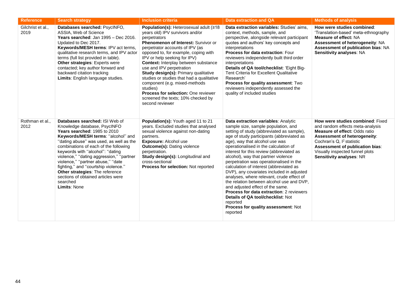| <b>Reference</b>          | <b>Search strategy</b>                                                                                                                                                                                                                                                                                                                                                                                                                                                                            | <b>Inclusion criteria</b>                                                                                                                                                                                                                                                                                                                                                                                                                                                                                                                                 | <b>Data extraction and QA</b>                                                                                                                                                                                                                                                                                                                                                                                                                                                                                                                                                                                                                                                                                                                                     | <b>Methods of analysis</b>                                                                                                                                                                                                                                                              |  |  |  |
|---------------------------|---------------------------------------------------------------------------------------------------------------------------------------------------------------------------------------------------------------------------------------------------------------------------------------------------------------------------------------------------------------------------------------------------------------------------------------------------------------------------------------------------|-----------------------------------------------------------------------------------------------------------------------------------------------------------------------------------------------------------------------------------------------------------------------------------------------------------------------------------------------------------------------------------------------------------------------------------------------------------------------------------------------------------------------------------------------------------|-------------------------------------------------------------------------------------------------------------------------------------------------------------------------------------------------------------------------------------------------------------------------------------------------------------------------------------------------------------------------------------------------------------------------------------------------------------------------------------------------------------------------------------------------------------------------------------------------------------------------------------------------------------------------------------------------------------------------------------------------------------------|-----------------------------------------------------------------------------------------------------------------------------------------------------------------------------------------------------------------------------------------------------------------------------------------|--|--|--|
| Gilchrist et al.,<br>2019 | Databases searched: PsycINFO,<br>ASSIA, Web of Science<br>Years searched: Jan 1995 - Dec 2016.<br>Updated to Dec 2017.<br>Keywords/MESH terms: IPV act terms,<br>qualitative research terms, and IPV actor<br>terms (full list provided in table).<br>Other strategies: Experts were<br>contacted; key author forward and<br>backward citation tracking<br>Limits: English language studies.                                                                                                      | Population(s): Heterosexual adult (≥18<br>years old) IPV survivors and/or<br>perpetrators<br><b>Phenomenon of Interest: Survivor or</b><br>perpetrator accounts of IPV (as<br>opposed to, for example, coping with<br>IPV or help seeking for IPV)<br>Context: Interplay between substance<br>use and IPV perpetration<br>Study design(s): Primary qualitative<br>studies or studies that had a qualitative<br>component (e.g. mixed-methods)<br>studies)<br>Process for selection: One reviewer<br>screened the texts; 10% checked by<br>second reviewer | Data extraction variables: Studies' aims.<br>context, methods, sample, and<br>perspective, alongside relevant participant<br>quotes and authors' key concepts and<br>interpretations<br>Process for data extraction: Four<br>reviewers independently built third order<br>interpretations<br>Details of QA tool/checklist: 'Eight Big-<br><b>Tent Criteria for Excellent Qualitative</b><br>Research'<br>Process for quality assessment: Two<br>reviewers independently assessed the<br>quality of included studies                                                                                                                                                                                                                                               | How were studies combined:<br>'Translation-based' meta-ethnography<br><b>Measure of effect: NA</b><br>Assessment of heterogeneity: NA<br>Assessment of publication bias: NA<br>Sensitivity analyses: NA                                                                                 |  |  |  |
| Rothman et al<br>2012     | Databases searched: ISI Web of<br>Knowledge database, PsycINFO<br>Years searched: 1985 to 2010<br>Keywords/MESH terms: "alcohol" and<br>"dating abuse" was used, as well as the<br>combinations of each of the following<br>keywords with "alcohol": "dating<br>violence," "dating aggression," "partner<br>violence," "partner abuse," "date<br>fighting," and "courtship violence."<br>Other strategies: The reference<br>sections of obtained articles were<br>searched<br><b>Limits: None</b> | Population(s): Youth aged 11 to 21<br>years. Excluded studies that analysed<br>sexual violence against non-dating<br>partners.<br>Exposure: Alcohol use<br><b>Outcome(s): Dating violence</b><br>perpetration.<br>Study design(s): Longitudinal and<br>cross-sectional<br>Process for selection: Not reported                                                                                                                                                                                                                                             | Data extraction variables: Analytic<br>sample size, sample population, and<br>setting of study (abbreviated as sample),<br>age of study participants (abbreviated as<br>age), way that alcohol use was<br>operationalised in the calculation of<br>interest for this review (abbreviated as<br>alcohol), way that partner violence<br>perpetration was operationalised in the<br>calculation of interest (abbreviated as<br>DVP), any covariates included in adjusted<br>analyses, where relevant, crude effect of<br>the relation between alcohol use and DVP,<br>and adjusted effect of the same.<br><b>Process for data extraction: 2 reviewers</b><br>Details of QA tool/checklist: Not<br>reported<br><b>Process for quality assessment: Not</b><br>reported | How were studies combined: Fixed<br>and random effects meta-analysis<br><b>Measure of effect: Odds ratio</b><br>Assessment of heterogeneity:<br>Cochran's Q, l <sup>2</sup> statistic<br>Assessment of publication bias:<br>Visually inspected funnel plots<br>Sensitivity analyses: NR |  |  |  |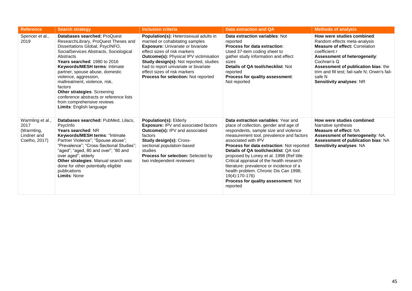| <b>Reference</b>                                                       | <b>Search strategy</b>                                                                                                                                                                                                                                                                                                                                                                                                                                                                    | <b>Inclusion criteria</b>                                                                                                                                                                                                                                                                                                                                                     | <b>Data extraction and QA</b>                                                                                                                                                                                                                                                                                                                                                                                                                                                                                                       | <b>Methods of analysis</b>                                                                                                                                                                                                                                                                         |
|------------------------------------------------------------------------|-------------------------------------------------------------------------------------------------------------------------------------------------------------------------------------------------------------------------------------------------------------------------------------------------------------------------------------------------------------------------------------------------------------------------------------------------------------------------------------------|-------------------------------------------------------------------------------------------------------------------------------------------------------------------------------------------------------------------------------------------------------------------------------------------------------------------------------------------------------------------------------|-------------------------------------------------------------------------------------------------------------------------------------------------------------------------------------------------------------------------------------------------------------------------------------------------------------------------------------------------------------------------------------------------------------------------------------------------------------------------------------------------------------------------------------|----------------------------------------------------------------------------------------------------------------------------------------------------------------------------------------------------------------------------------------------------------------------------------------------------|
| Spencer et al.,<br>2019                                                | Databases searched: ProQuest<br>ResearchLibrary, ProQuest Theses and<br>Dissertations Global, PsycINFO,<br>SocialServices Abstracts, Sociological<br>Abstracts<br>Years searched: 1980 to 2016<br>Keywords/MESH terms: Intimate<br>partner, spouse abuse, domestic<br>violence, aggression,<br>maltreatment, violence, risk,<br>factors<br><b>Other strategies: Screening</b><br>conference abstracts or reference lists<br>from comprehensive reviews<br><b>Limits:</b> English language | <b>Population(s):</b> Heterosexual adults in<br>married or cohabitating samples<br><b>Exposure:</b> Univariate or bivariate<br>effect sizes of risk markers<br><b>Outcome(s): Physical IPV victimisation</b><br>Study design(s): Not reported, studies<br>had to report univariate or bivariate<br>effect sizes of risk markers<br><b>Process for selection: Not reported</b> | <b>Data extraction variables: Not</b><br>reported<br>Process for data extraction:<br>Used 37-item coding sheet to<br>gather study information and effect<br>sizes<br><b>Details of QA tool/checklist: Not</b><br>reported<br>Process for quality assessment:<br>Not reported                                                                                                                                                                                                                                                        | How were studies combined:<br>Random effects meta-analysis<br><b>Measure of effect: Correlation</b><br>coefficient r<br>Assessment of heterogeneity:<br>Cochran's Q<br>Assessment of publication bias: the<br>trim and fill test; fail-safe N; Orwin's fail-<br>safe N<br>Sensitivity analyses: NR |
| Warmling et al.,<br>2017<br>(Warmling,<br>Lindner and<br>Coelho, 2017) | Databases searched: PubMed, Lilacs,<br>PsycInfo<br>Years searched: NR<br>Keywords/MESH terms: "Intimate<br>Partner Violence"; "Spouse abuse";<br>"Prevalence"; "Cross-Sectional Studies";<br>"aged"; "aged, 80 and over"; "80 and<br>over aged"; elderly<br>Other strategies: Manual search was<br>done for other potentially eligible<br>publications<br><b>Limits: None</b>                                                                                                             | Population(s): Elderly<br><b>Exposure: IPV and associated factors</b><br><b>Outcome(s): IPV and associated</b><br>factors<br>Study design(s): Cross-<br>sectional population-based<br>studies<br><b>Process for selection: Selected by</b><br>two independent reviewers                                                                                                       | Data extraction variables: Year and<br>place of collection, gender and age of<br>respondents, sample size and violence<br>measurement tool, prevalence and factors<br>associated with IPV<br>Process for data extraction: Not reported<br>Details of QA tool/checklist: QA tool<br>proposed by Loney et al. 1998 (Ref title:<br>Critical appraisal of the health research<br>literature: prevalence or incidence of a<br>health problem. Chronic Dis Can 1998;<br>19(4):170-176)<br>Process for quality assessment: Not<br>reported | How were studies combined:<br>Narrative synthesis<br><b>Measure of effect: NA</b><br>Assessment of heterogeneity: NA.<br><b>Assessment of publication bias: NA</b><br>Sensitivity analyses: NA                                                                                                     |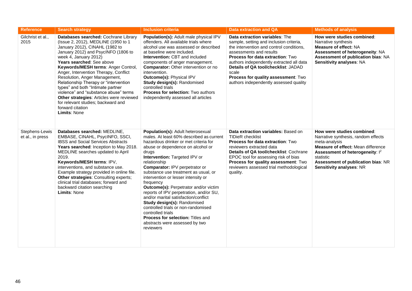| <b>Reference</b>                   | <b>Search strategy</b>                                                                                                                                                                                                                                                                                                                                                                                                                                                                                                                                                   | <b>Inclusion criteria</b>                                                                                                                                                                                                                                                                                                                                                                                                                                                                                                                                                                                                                                             | <b>Data extraction and QA</b>                                                                                                                                                                                                                                                                                                                                            | <b>Methods of analysis</b>                                                                                                                                                                                                                             |  |  |  |
|------------------------------------|--------------------------------------------------------------------------------------------------------------------------------------------------------------------------------------------------------------------------------------------------------------------------------------------------------------------------------------------------------------------------------------------------------------------------------------------------------------------------------------------------------------------------------------------------------------------------|-----------------------------------------------------------------------------------------------------------------------------------------------------------------------------------------------------------------------------------------------------------------------------------------------------------------------------------------------------------------------------------------------------------------------------------------------------------------------------------------------------------------------------------------------------------------------------------------------------------------------------------------------------------------------|--------------------------------------------------------------------------------------------------------------------------------------------------------------------------------------------------------------------------------------------------------------------------------------------------------------------------------------------------------------------------|--------------------------------------------------------------------------------------------------------------------------------------------------------------------------------------------------------------------------------------------------------|--|--|--|
| Gilchrist et al.,<br>2015          | Databases searched: Cochrane Library<br>(Issue 2, 2012), MEDLINE (1950 to 1<br>January 2012), CINAHL (1982 to<br>January 2012) and PsycINFO (1806 to<br>week 4, January 2012)<br>Years searched: See above<br>Keywords/MESH terms: Anger Control,<br>Anger, Intervention Therapy, Conflict<br>Resolution, Anger Management,<br>Relationship Therapy or "intervention<br>types" and both "Intimate partner<br>violence" and "substance abuse" terms<br>Other strategies: Articles were reviewed<br>for relevant studies; backward and<br>forward citation<br>Limits: None | Population(s): Adult male physical IPV<br>offenders. All available trials where<br>alcohol use was assessed or described<br>at baseline were included.<br>Intervention: CBT and included<br>components of anger management.<br><b>Comparator:</b> Other intervention or no<br>intervention.<br>Outcome(s): Physical IPV<br>Study design(s): Randomised<br>controlled trials<br>Process for selection: Two authors<br>independently assessed all articles                                                                                                                                                                                                              | Data extraction variables: The<br>sample, setting and inclusion criteria,<br>the intervention and control conditions,<br>assessments and results<br><b>Process for data extraction: Two</b><br>authors independently extracted all data<br>Details of QA tool/checklist: JADAD<br>scale<br>Process for quality assessment: Two<br>authors independently assessed quality | How were studies combined:<br>Narrative synthesis<br><b>Measure of effect: NA</b><br>Assessment of heterogeneity: NA<br>Assessment of publication bias: NA<br>Sensitivity analyses: NA                                                                 |  |  |  |
| Stephens-Lewis<br>et al., in press | Databases searched: MEDLINE,<br>EMBASE, CINAHL, PsycINFO, SSCI,<br><b>IBSS and Social Services Abstracts</b><br>Years searched: Inception to May 2018.<br>MEDLINE searches updated to April<br>2019.<br>Keywords/MESH terms: IPV,<br>interventions, and substance use.<br>Example strategy provided in online file.<br>Other strategies: Consulting experts;<br>clinical trial databases; forward and<br>backward citation searching<br><b>Limits: None</b>                                                                                                              | Population(s): Adult heterosexual<br>males. At least 60% described as current<br>hazardous drinker or met criteria for<br>abuse or dependence on alcohol or<br>drugs<br>Intervention: Targeted IPV or<br>relationship<br>Comparator: IPV perpetrator or<br>substance use treatment as usual, or<br>intervention or lesser intensity or<br>frequency<br><b>Outcome(s): Perpetrator and/or victim</b><br>reports of IPV perpetration, and/or SU,<br>and/or marital satisfaction/conflict<br>Study design(s): Randomised<br>controlled trials or non-randomised<br>controlled trials<br>Process for selection: Titles and<br>abstracts were assessed by two<br>reviewers | Data extraction variables: Based on<br><b>TIDieR</b> checklist<br><b>Process for data extraction: Two</b><br>reviewers extracted data<br>Details of QA tool/checklist: Cochrane<br>EPOC tool for assessing risk of bias<br>Process for quality assessment: Two<br>reviewers assessed trial methodological<br>quality.                                                    | How were studies combined:<br>Narrative synthesis, random effects<br>meta-analysis<br>Measure of effect: Mean difference<br>Assessment of heterogeneity: I <sup>2</sup><br>statistic<br>Assessment of publication bias: NR<br>Sensitivity analyses: NR |  |  |  |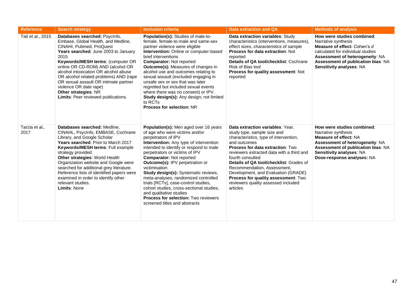| <b>Reference</b>       | <b>Search strategy</b>                                                                                                                                                                                                                                                                                                                                                                                                                                    | <b>Inclusion criteria</b>                                                                                                                                                                                                                                                                                                                                                                                                                                                                                                                                                                          | <b>Data extraction and QA</b>                                                                                                                                                                                                                                                                                                                                                                                                                    | <b>Methods of analysis</b>                                                                                                                                                                                                  |  |  |  |
|------------------------|-----------------------------------------------------------------------------------------------------------------------------------------------------------------------------------------------------------------------------------------------------------------------------------------------------------------------------------------------------------------------------------------------------------------------------------------------------------|----------------------------------------------------------------------------------------------------------------------------------------------------------------------------------------------------------------------------------------------------------------------------------------------------------------------------------------------------------------------------------------------------------------------------------------------------------------------------------------------------------------------------------------------------------------------------------------------------|--------------------------------------------------------------------------------------------------------------------------------------------------------------------------------------------------------------------------------------------------------------------------------------------------------------------------------------------------------------------------------------------------------------------------------------------------|-----------------------------------------------------------------------------------------------------------------------------------------------------------------------------------------------------------------------------|--|--|--|
| Tait et al., 2015      | Databases searched: PsycInfo,<br>Embase, Global Health, and Medline,<br>CINAHI, Pubmed, ProQuest<br>Years searched: June 2003 to January<br>2015<br>Keywords/MESH terms: (computer OR<br>online OR CD-ROM) AND (alcohol OR<br>alcohol intoxication OR alcohol abuse<br>OR alcohol related problems) AND (rape<br>OR sexual assault OR intimate partner<br>violence OR date rape)<br>Other strategies: NR<br>Limits: Peer reviewed publications.           | Population(s): Studies of male-to-<br>female, female-to-male and same-sex<br>partner violence were eligible<br>Intervention: Online or computer-based<br>brief interventions<br><b>Comparator: Not reported</b><br><b>Outcome(s):</b> Measures of changes in<br>alcohol use and outcomes relating to<br>sexual assault (excluded engaging in<br>unsafe sex or sex that was later<br>regretted but included sexual events<br>where there was no consent) or IPV.<br>Study design(s): Any design; not limited<br>to RCTs<br><b>Process for selection: NR</b>                                         | Data extraction variables: Study<br>characteristics (interventions, measures),<br>effect sizes, characteristics of sample<br><b>Process for data extraction: Not</b><br>reported<br>Details of QA tool/checklist: Cochrane<br>Risk of Bias tool<br>Process for quality assessment: Not<br>reported                                                                                                                                               | How were studies combined:<br>Narrative synthesis<br>Measure of effect: Cohen's d<br>calculated for individual studies<br>Assessment of heterogeneity: NA<br>Assessment of publication bias: NA<br>Sensitivity analyses: NA |  |  |  |
| Tarzia et al.,<br>2017 | Databases searched: Medline,<br>CINAHL, PsycInfo, EMBASE, Cochrane<br>Library, and Google Scholar<br>Years searched: Prior to March 2017<br>Keywords/MESH terms: Full example<br>strategy provided.<br>Other strategies: World Health<br>Organization website and Google were<br>searched for additional grey literature.<br>Reference lists of identified papers were<br>examined in order to identify other<br>relevant studies.<br><b>Limits: None</b> | Population(s): Men aged over 16 years<br>of age who were victims and/or<br>perpetrators of IPV<br><b>Intervention:</b> Any type of intervention<br>intended to identify or respond to male<br>perpetrators or victims of IPV<br><b>Comparator: Not reported</b><br><b>Outcome(s): IPV perpetration or</b><br>victimisation<br>Study design(s): Systematic reviews,<br>meta-analyses, randomized controlled<br>trials [RCTs], case-control studies,<br>cohort studies, cross-sectional studies,<br>and qualitative studies<br>Process for selection: Two reviewers<br>screened titles and abstracts | Data extraction variables: Year,<br>study type, sample size and<br>characteristics, type of intervention,<br>and outcomes<br><b>Process for data extraction: Two</b><br>reviewers extracted data with a third and<br>fourth consulted<br>Details of QA tool/checklist: Grades of<br>Recommendation, Assessment,<br>Development, and Evaluation (GRADE)<br>Process for quality assessment: Two<br>reviewers quality assessed included<br>articles | How were studies combined:<br>Narrative synthesis<br><b>Measure of effect: NA</b><br>Assessment of heterogeneity: NA<br>Assessment of publication bias: NA<br>Sensitivity analyses: NA<br>Dose-response analyses: NA        |  |  |  |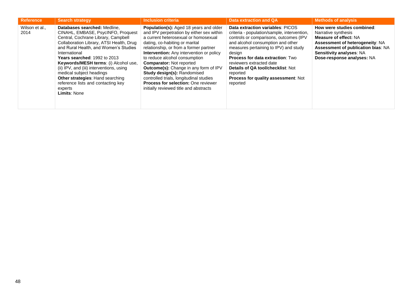| <b>Reference</b>       | <b>Search strategy</b>                                                                                                                                                                                                                                                                                                                                                                                                                                                              | <b>Inclusion criteria</b>                                                                                                                                                                                                                                                                                                                                                                                                                                                                                                                               | Data extraction and QA                                                                                                                                                                                                                                                                                                                                                                                     | <b>Methods of analysis</b>                                                                                                                                                                                           |
|------------------------|-------------------------------------------------------------------------------------------------------------------------------------------------------------------------------------------------------------------------------------------------------------------------------------------------------------------------------------------------------------------------------------------------------------------------------------------------------------------------------------|---------------------------------------------------------------------------------------------------------------------------------------------------------------------------------------------------------------------------------------------------------------------------------------------------------------------------------------------------------------------------------------------------------------------------------------------------------------------------------------------------------------------------------------------------------|------------------------------------------------------------------------------------------------------------------------------------------------------------------------------------------------------------------------------------------------------------------------------------------------------------------------------------------------------------------------------------------------------------|----------------------------------------------------------------------------------------------------------------------------------------------------------------------------------------------------------------------|
| Wilson et al.,<br>2014 | Databases searched: Medline.<br>CINAHL, EMBASE, PsycINFO, Proquest<br>Central, Cochrane Library, Campbell<br>Collaboration Library, ATSI Health, Drug<br>and Rural Health, and Women's Studies<br>International<br>Years searched: 1992 to 2013<br>Keywords/MESH terms: (i) Alcohol use,<br>(ii) IPV, and (iii) interventions, using<br>medical subject headings<br><b>Other strategies: Hand searching</b><br>reference lists and contacting key<br>experts<br><b>Limits: None</b> | <b>Population(s):</b> Aged 18 years and older<br>and IPV perpetration by either sex within<br>a current heterosexual or homosexual<br>dating, co-habiting or marital<br>relationship, or from a former partner<br><b>Intervention:</b> Any intervention or policy<br>to reduce alcohol consumption<br><b>Comparator: Not reported</b><br><b>Outcome(s):</b> Change in any form of IPV<br>Study design(s): Randomised<br>controlled trials, longitudinal studies<br><b>Process for selection: One reviewer</b><br>initially reviewed title and abstracts | Data extraction variables: PICOS<br>criteria - population/sample, intervention,<br>controls or comparisons, outcomes (IPV<br>and alcohol consumption and other<br>measures pertaining to IPV) and study<br>design<br><b>Process for data extraction: Two</b><br>reviewers extracted date<br><b>Details of QA tool/checklist: Not</b><br>reported<br><b>Process for quality assessment: Not</b><br>reported | How were studies combined:<br>Narrative synthesis<br><b>Measure of effect: NA</b><br>Assessment of heterogeneity: NA<br>Assessment of publication bias: NA<br>Sensitivity analyses: NA<br>Dose-response analyses: NA |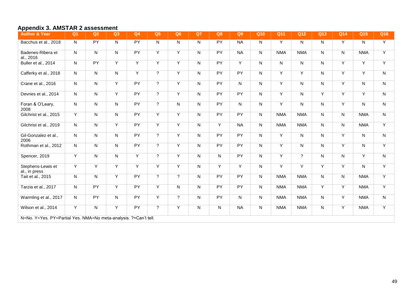#### **Appendix 3. AMSTAR 2 assessment**

| <b>Author &amp; Year</b>                                         | Q <sub>1</sub> | Q2             | Q3             | Q <sub>4</sub> | Q <sub>5</sub> | Q6             | Q7                      | Q8             | Q9        | Q10            | Q11            | Q12            | Q13                     | Q14            | Q15            | Q16            |
|------------------------------------------------------------------|----------------|----------------|----------------|----------------|----------------|----------------|-------------------------|----------------|-----------|----------------|----------------|----------------|-------------------------|----------------|----------------|----------------|
| Bacchus et al., 2018                                             | N              | PY             | N              | PY             | N              | N              | N                       | <b>PY</b>      | <b>NA</b> | $\mathsf{N}$   | Y              | N              | N                       | Y              | N              | Y              |
| Badenes-Ribera et<br>al., 2016                                   | $\mathsf{N}$   | N              | N              | PY             | Y              | Y              | ${\sf N}$               | PY             | <b>NA</b> | $\overline{N}$ | <b>NMA</b>     | <b>NMA</b>     | N                       | ${\sf N}$      | <b>NMA</b>     | Y              |
| Buller et al., 2014                                              | $\mathsf{N}$   | PY             | Y              | Y              | Y              | Y              | ${\sf N}$               | PY             | Y         | $\overline{N}$ | N              | N              | N                       | Y              | Y              | Y              |
| Cafferky et al., 2018                                            | $\mathsf{N}$   | $\mathsf{N}$   | N              | Y              | $\overline{?}$ | Y              | ${\sf N}$               | PY             | PY        | $\mathsf{N}$   | $\overline{Y}$ | $\overline{Y}$ | ${\sf N}$               | Y              | Y              | $\mathsf{N}$   |
| Crane et al., 2016                                               | N              | $\overline{N}$ | Y              | PY             | $\overline{?}$ | Y              | $\overline{N}$          | PY             | N         | $\overline{N}$ | $\overline{Y}$ | $\overline{N}$ | $\overline{N}$          | Y              | $\mathsf{N}$   | $\overline{N}$ |
| Devries et al., 2014                                             | $\mathsf{N}$   | $\mathsf{N}$   | Y              | PY             | $\overline{?}$ | Y              | ${\sf N}$               | PY             | PY        | $\mathsf{N}$   | $\overline{Y}$ | ${\sf N}$      | $\overline{Y}$          | Y              | Y              | N              |
| Foran & O'Leary,<br>2008                                         | ${\sf N}$      | ${\sf N}$      | N              | PY             | $\overline{?}$ | N              | ${\sf N}$               | PY             | N         | N              | $\overline{Y}$ | ${\sf N}$      | ${\sf N}$               | Y              | N              | $\mathsf{N}$   |
| Gilchrist et al., 2015                                           | Y              | $\mathsf{N}$   | N              | PY             | Y              | Y              | $\overline{N}$          | <b>PY</b>      | PY        | N              | <b>NMA</b>     | <b>NMA</b>     | $\overline{N}$          | $\overline{N}$ | <b>NMA</b>     | $\overline{N}$ |
| Gilchrist et al., 2019                                           | $\overline{N}$ | $\overline{N}$ | $\overline{Y}$ | PY             | $\overline{Y}$ | Y              | ${\sf N}$               | $\overline{Y}$ | <b>NA</b> | $\overline{N}$ | <b>NMA</b>     | <b>NMA</b>     | $\overline{N}$          | $\overline{N}$ | <b>NMA</b>     | $\overline{Y}$ |
| Gil-Gonzalez et al.,<br>2006                                     | N              | $\overline{N}$ | N              | PY             | $\overline{?}$ | Y              | ${\sf N}$               | PY             | PY        | $\overline{N}$ | $\overline{Y}$ | N              | N                       | $\overline{Y}$ | N              | N              |
| Rothman et al., 2012                                             | N              | N              | N              | PY             | $\overline{?}$ | Y              | N                       | PY             | PY        | $\overline{N}$ | $\overline{Y}$ | N              | $\mathsf{N}$            | Y              | N              | Y              |
| Spencer, 2019                                                    | Y              | N              | N              | $\overline{Y}$ | $\overline{?}$ | $\overline{Y}$ | ${\sf N}$               | N              | PY        | $\overline{N}$ | $\overline{Y}$ | $\overline{?}$ | $\mathsf{N}$            | $\mathsf{N}$   | $\overline{Y}$ | N              |
| Stephens-Lewis et<br>al., in press                               | Y              | Y              | Y              | Y              | Y              | Y              | ${\sf N}$               | Y              | Y         | $\mathsf{N}$   | $\overline{Y}$ | Y              | $\overline{Y}$          | Y              | N              | Y              |
| Tait et al., 2015                                                | $\mathsf{N}$   | $\mathsf{N}$   | Y              | PY             | $\overline{?}$ | $\overline{?}$ | ${\sf N}$               | PY             | PY        | $\mathsf{N}$   | <b>NMA</b>     | <b>NMA</b>     | $\mathsf{N}$            | $\mathsf{N}$   | <b>NMA</b>     | Y              |
| Tarzia et al., 2017                                              | $\mathsf{N}$   | PY             | Y              | <b>PY</b>      | Y              | N              | $\mathsf{N}$            | PY             | PY        | $\overline{N}$ | <b>NMA</b>     | <b>NMA</b>     | $\overline{Y}$          | $\overline{Y}$ | <b>NMA</b>     | $\overline{Y}$ |
| Warmling et al., 2017                                            | $\mathsf{N}$   | PY             | N              | PY             | $\overline{Y}$ | $\gamma$       | $\overline{\mathsf{N}}$ | PY             | N         | $\overline{N}$ | <b>NMA</b>     | <b>NMA</b>     | $\overline{\mathsf{N}}$ | $\overline{Y}$ | <b>NMA</b>     | $\overline{N}$ |
| Wilson et al., 2014                                              | Y              | ${\sf N}$      | Y              | PY             | $\overline{?}$ | Y              | ${\sf N}$               | N              | <b>NA</b> | $\mathsf{N}$   | <b>NMA</b>     | <b>NMA</b>     | ${\sf N}$               | Y              | <b>NMA</b>     | Y              |
| N=No. Y=Yes. PY=Partial Yes. NMA=No meta-analysis. ?=Can't tell. |                |                |                |                |                |                |                         |                |           |                |                |                |                         |                |                |                |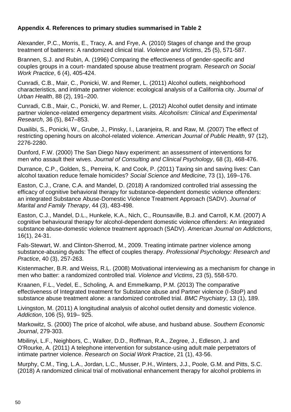#### **Appendix 4. References to primary studies summarised in Table 2**

Alexander, P.C., Morris, E., Tracy, A. and Frye, A. (2010) Stages of change and the group treatment of batterers: A randomized clinical trial. *Violence and Victims*, 25 (5), 571-587.

Brannen, S.J. and Rubin, A. (1996) Comparing the effectiveness of gender-specific and couples groups in a court- mandated spouse abuse treatment program. *Research on Social Work Practice*, 6 (4), 405-424.

Cunradi, C.B., Mair, C., Ponicki, W. and Remer, L. (2011) Alcohol outlets, neighborhood characteristics, and intimate partner violence: ecological analysis of a California city. *Journal of Urban Health*, 88 (2), 191–200.

Cunradi, C.B., Mair, C., Ponicki, W. and Remer, L. (2012) Alcohol outlet density and intimate partner violence-related emergency department visits. *Alcoholism: Clinical and Experimental Research*, 36 (5), 847–853.

Duailibi, S., Ponicki, W., Grube, J., Pinsky, I., Laranjeira, R. and Raw, M. (2007) The effect of restricting opening hours on alcohol-related violence. *American Journal of Public Health*, 97 (12), 2276-2280.

Dunford, F.W. (2000) The San Diego Navy experiment: an assessment of interventions for men who assault their wives. *Journal of Consulting and Clinical Psychology*, 68 (3), 468-476.

Durrance, C.P., Golden, S., Perreira, K. and Cook, P. (2011) Taxing sin and saving lives: Can alcohol taxation reduce female homicides? *Social Science and Medicine*, 73 (1), 169–176.

Easton, C.J., Crane, C.A. and Mandel, D. (2018) A randomized controlled trial assessing the efficacy of cognitive behavioral therapy for substance-dependent domestic violence offenders: an integrated Substance Abuse-Domestic Violence Treatment Approach (SADV). *Journal of Marital and Family Therapy*, 44 (3), 483-498.

Easton, C.J., Mandel, D.L., Hunkele, K.A., Nich, C., Rounsaville, B.J. and Carroll, K.M. (2007) A cognitive behavioural therapy for alcohol-dependent domestic violence offenders: An integrated substance abuse-domestic violence treatment approach (SADV). *American Journal on Addictions*, 16(1), 24-31.

Fals-Stewart, W. and Clinton-Sherrod, M., 2009. Treating intimate partner violence among substance-abusing dyads: The effect of couples therapy. *Professional Psychology: Research and Practice*, 40 (3), 257-263.

Kistenmacher, B.R. and Weiss, R.L. (2008) Motivational interviewing as a mechanism for change in men who batter: a randomized controlled trial. *Violence and Victims*, 23 (5), 558-570.

Kraanen, F.L., Vedel, E., Scholing, A. and Emmelkamp, P.M. (2013) The comparative effectiveness of Integrated treatment for Substance abuse and Partner violence (I-StoP) and substance abuse treatment alone: a randomized controlled trial. *BMC Psychiatry*, 13 (1), 189.

Livingston, M. (2011) A longitudinal analysis of alcohol outlet density and domestic violence. *Addiction*, 106 (5), 919– 925.

Markowitz, S. (2000) The price of alcohol, wife abuse, and husband abuse. *Southern Economic Journal*, 279-303.

Mbilinyi, L.F., Neighbors, C., Walker, D.D., Roffman, R.A., Zegree, J., Edleson, J. and O'Rourke, A. (2011) A telephone intervention for substance-using adult male perpetrators of intimate partner violence. *Research on Social Work Practice*, 21 (1), 43-56.

Murphy, C.M., Ting, L.A., Jordan, L.C., Musser, P.H., Winters, J.J., Poole, G.M. and Pitts, S.C. (2018) A randomized clinical trial of motivational enhancement therapy for alcohol problems in